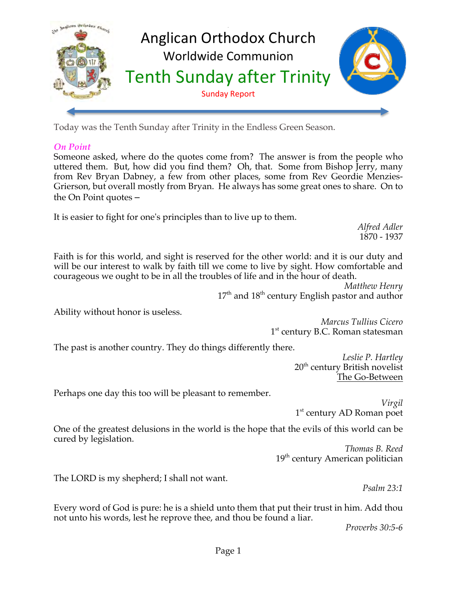

Today was the Tenth Sunday after Trinity in the Endless Green Season.

# *On Point*

Someone asked, where do the quotes come from? The answer is from the people who uttered them. But, how did you find them? Oh, that. Some from Bishop Jerry, many from Rev Bryan Dabney, a few from other places, some from Rev Geordie Menzies-Grierson, but overall mostly from Bryan. He always has some great ones to share. On to the On Point quotes –

It is easier to fight for one's principles than to live up to them.

*Alfred Adler* 1870 - 1937

Faith is for this world, and sight is reserved for the other world: and it is our duty and will be our interest to walk by faith till we come to live by sight. How comfortable and courageous we ought to be in all the troubles of life and in the hour of death.

> *Matthew Henry*  $17<sup>th</sup>$  and  $18<sup>th</sup>$  century English pastor and author

Ability without honor is useless.

*Marcus Tullius Cicero* 1<sup>st</sup> century B.C. Roman statesman

The past is another country. They do things differently there.

*Leslie P. Hartley* 20<sup>th</sup> century British novelist The Go-Between

Perhaps one day this too will be pleasant to remember.

*Virgil* 1<sup>st</sup> century AD Roman poet

One of the greatest delusions in the world is the hope that the evils of this world can be cured by legislation.

*Thomas B. Reed*  $19<sup>th</sup>$  century American politician

The LORD is my shepherd; I shall not want.

*Psalm 23:1*

Every word of God is pure: he is a shield unto them that put their trust in him. Add thou not unto his words, lest he reprove thee, and thou be found a liar.

*Proverbs 30:5-6*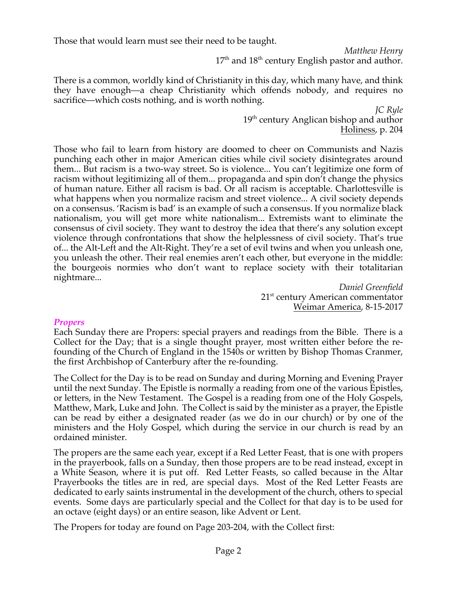Those that would learn must see their need to be taught.

*Matthew Henry*  $17^{\text{th}}$  and  $18^{\text{th}}$  century English pastor and author.

There is a common, worldly kind of Christianity in this day, which many have, and think they have enough—a cheap Christianity which offends nobody, and requires no sacrifice—which costs nothing, and is worth nothing.

> *JC Ryle* 19<sup>th</sup> century Anglican bishop and author Holiness, p. 204

Those who fail to learn from history are doomed to cheer on Communists and Nazis punching each other in major American cities while civil society disintegrates around them... But racism is a two-way street. So is violence... You can't legitimize one form of racism without legitimizing all of them... propaganda and spin don't change the physics of human nature. Either all racism is bad. Or all racism is acceptable. Charlottesville is what happens when you normalize racism and street violence... A civil society depends on a consensus. 'Racism is bad' is an example of such a consensus. If you normalize black nationalism, you will get more white nationalism... Extremists want to eliminate the consensus of civil society. They want to destroy the idea that there's any solution except violence through confrontations that show the helplessness of civil society. That's true of... the Alt-Left and the Alt-Right. They're a set of evil twins and when you unleash one, you unleash the other. Their real enemies aren't each other, but everyone in the middle: the bourgeois normies who don't want to replace society with their totalitarian nightmare...

*Daniel Greenfield* 21<sup>st</sup> century American commentator Weimar America, 8-15-2017

# *Propers*

Each Sunday there are Propers: special prayers and readings from the Bible. There is a Collect for the Day; that is a single thought prayer, most written either before the refounding of the Church of England in the 1540s or written by Bishop Thomas Cranmer, the first Archbishop of Canterbury after the re-founding.

The Collect for the Day is to be read on Sunday and during Morning and Evening Prayer until the next Sunday. The Epistle is normally a reading from one of the various Epistles, or letters, in the New Testament. The Gospel is a reading from one of the Holy Gospels, Matthew, Mark, Luke and John. The Collect is said by the minister as a prayer, the Epistle can be read by either a designated reader (as we do in our church) or by one of the ministers and the Holy Gospel, which during the service in our church is read by an ordained minister.

The propers are the same each year, except if a Red Letter Feast, that is one with propers in the prayerbook, falls on a Sunday, then those propers are to be read instead, except in a White Season, where it is put off. Red Letter Feasts, so called because in the Altar Prayerbooks the titles are in red, are special days. Most of the Red Letter Feasts are dedicated to early saints instrumental in the development of the church, others to special events. Some days are particularly special and the Collect for that day is to be used for an octave (eight days) or an entire season, like Advent or Lent.

The Propers for today are found on Page 203-204, with the Collect first: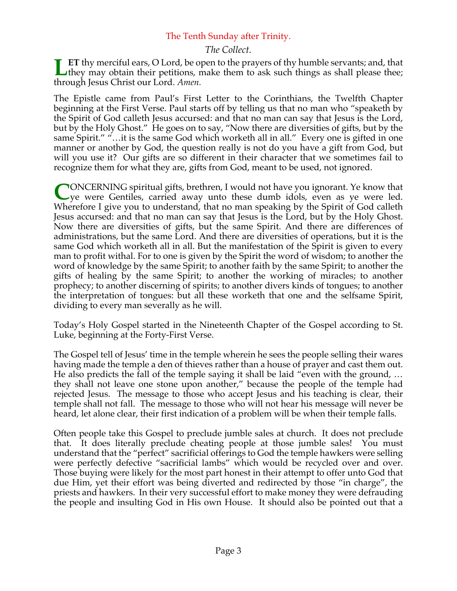# The Tenth Sunday after Trinity.

# *The Collect.*

**ET** thy merciful ears, O Lord, be open to the prayers of thy humble servants; and, that **ET** thy merciful ears, O Lord, be open to the prayers of thy humble servants; and, that they may obtain their petitions, make them to ask such things as shall please thee; through Jesus Christ our Lord. *Amen.*

The Epistle came from Paul's First Letter to the Corinthians, the Twelfth Chapter beginning at the First Verse. Paul starts off by telling us that no man who "speaketh by the Spirit of God calleth Jesus accursed: and that no man can say that Jesus is the Lord, but by the Holy Ghost." He goes on to say, "Now there are diversities of gifts, but by the same Spirit." "…it is the same God which worketh all in all." Every one is gifted in one manner or another by God, the question really is not do you have a gift from God, but will you use it? Our gifts are so different in their character that we sometimes fail to recognize them for what they are, gifts from God, meant to be used, not ignored.

ONCERNING spiritual gifts, brethren, I would not have you ignorant. Ye know that ye were Gentiles, carried away unto these dumb idols, even as ye were led. Wherefore I give you to understand, that no man speaking by the Spirit of God calleth Jesus accursed: and that no man can say that Jesus is the Lord, but by the Holy Ghost. Now there are diversities of gifts, but the same Spirit. And there are differences of administrations, but the same Lord. And there are diversities of operations, but it is the same God which worketh all in all. But the manifestation of the Spirit is given to every man to profit withal. For to one is given by the Spirit the word of wisdom; to another the word of knowledge by the same Spirit; to another faith by the same Spirit; to another the gifts of healing by the same Spirit; to another the working of miracles; to another prophecy; to another discerning of spirits; to another divers kinds of tongues; to another the interpretation of tongues: but all these worketh that one and the selfsame Spirit, dividing to every man severally as he will. **C**

Today's Holy Gospel started in the Nineteenth Chapter of the Gospel according to St. Luke, beginning at the Forty-First Verse.

The Gospel tell of Jesus' time in the temple wherein he sees the people selling their wares having made the temple a den of thieves rather than a house of prayer and cast them out. He also predicts the fall of the temple saying it shall be laid "even with the ground, … they shall not leave one stone upon another," because the people of the temple had rejected Jesus. The message to those who accept Jesus and his teaching is clear, their temple shall not fall. The message to those who will not hear his message will never be heard, let alone clear, their first indication of a problem will be when their temple falls.

Often people take this Gospel to preclude jumble sales at church. It does not preclude that. It does literally preclude cheating people at those jumble sales! You must understand that the "perfect" sacrificial offerings to God the temple hawkers were selling were perfectly defective "sacrificial lambs" which would be recycled over and over. Those buying were likely for the most part honest in their attempt to offer unto God that due Him, yet their effort was being diverted and redirected by those "in charge", the priests and hawkers. In their very successful effort to make money they were defrauding the people and insulting God in His own House. It should also be pointed out that a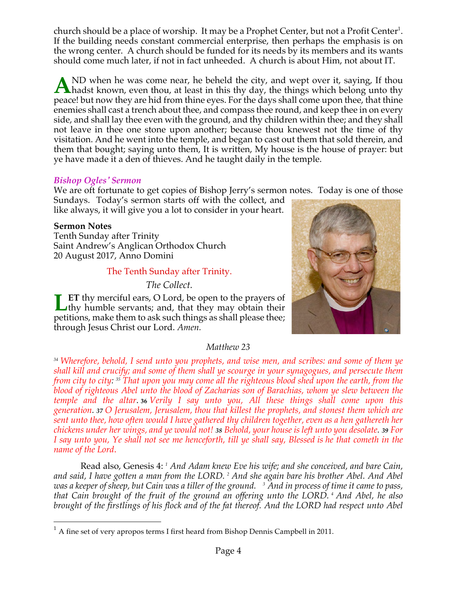church should be a place of worship. It may be a Prophet Center, but not a Profit Center<sup>1</sup>. If the building needs constant commercial enterprise, then perhaps the emphasis is on the wrong center. A church should be funded for its needs by its members and its wants should come much later, if not in fact unheeded. A church is about Him, not about IT.

ND when he was come near, he beheld the city, and wept over it, saying, If thou A ND when he was come near, he beheld the city, and wept over it, saying, If thou hadst known, even thou, at least in this thy day, the things which belong unto thy peace! but now they are hid from thine eyes. For the days shall come upon thee, that thine enemies shall cast a trench about thee, and compass thee round, and keep thee in on every side, and shall lay thee even with the ground, and thy children within thee; and they shall not leave in thee one stone upon another; because thou knewest not the time of thy visitation. And he went into the temple, and began to cast out them that sold therein, and them that bought; saying unto them, It is written, My house is the house of prayer: but ye have made it a den of thieves. And he taught daily in the temple.

#### *Bishop Ogles' Sermon*

We are oft fortunate to get copies of Bishop Jerry's sermon notes. Today is one of those

Sundays. Today's sermon starts off with the collect, and like always, it will give you a lot to consider in your heart.

#### **Sermon Notes**

Tenth Sunday after Trinity Saint Andrew's Anglican Orthodox Church 20 August 2017, Anno Domini

#### The Tenth Sunday after Trinity.

#### *The Collect.*

**ET** thy merciful ears, O Lord, be open to the prayers of **Let** thy merciful ears, O Lord, be open to the prayers of thy humble servants; and, that they may obtain their petitions, make them to ask such things as shall please thee; through Jesus Christ our Lord. *Amen.*



#### *Matthew 23*

*<sup>34</sup> Wherefore, behold, I send unto you prophets, and wise men, and scribes: and some of them ye shall kill and crucify; and some of them shall ye scourge in your synagogues, and persecute them from city to city: <sup>35</sup> That upon you may come all the righteous blood shed upon the earth, from the blood of righteous Abel unto the blood of Zacharias son of Barachias, whom ye slew between the temple and the altar*. **<sup>36</sup>** *Verily I say unto you, All these things shall come upon this generation. <sup>37</sup> O Jerusalem, Jerusalem, thou that killest the prophets, and stonest them which are sent unto thee, how often would I have gathered thy children together, even as a hen gathereth her chickens under her wings, and ye would not! <sup>38</sup> Behold, your house is left unto you desolate. <sup>39</sup> For I say unto you, Ye shall not see me henceforth, till ye shall say, Blessed is he that cometh in the name of the Lord*.

Read also, Genesis 4: *<sup>1</sup> And Adam knew Eve his wife; and she conceived, and bare Cain, and said, I have gotten a man from the LORD. <sup>2</sup> And she again bare his brother Abel. And Abel was a keeper of sheep, but Cain was a tiller of the ground. <sup>3</sup> And in process of time it came to pass, that Cain brought of the fruit of the ground an offering unto the LORD. <sup>4</sup> And Abel, he also brought of the firstlings of his flock and of the fat thereof. And the LORD had respect unto Abel* 

 $<sup>1</sup>$  A fine set of very apropos terms I first heard from Bishop Dennis Campbell in 2011.</sup>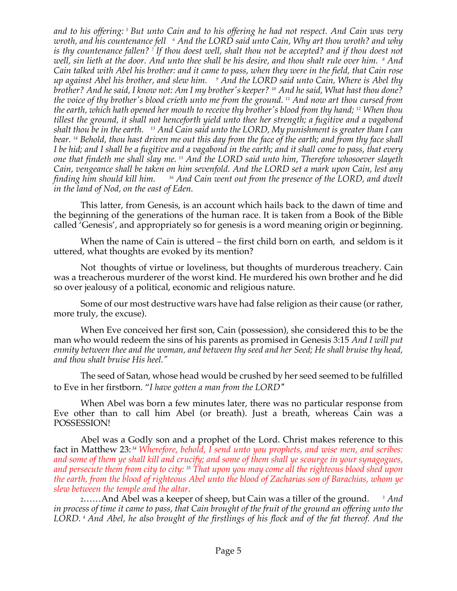*and to his offering: <sup>5</sup> But unto Cain and to his offering he had not respect. And Cain was very wroth, and his countenance fell <sup>6</sup> And the LORD said unto Cain, Why art thou wroth? and why is thy countenance fallen? <sup>7</sup> If thou doest well, shalt thou not be accepted? and if thou doest not well, sin lieth at the door. And unto thee shall be his desire, and thou shalt rule over him. <sup>8</sup> And Cain talked with Abel his brother: and it came to pass, when they were in the field, that Cain rose up against Abel his brother, and slew him. <sup>9</sup> And the LORD said unto Cain, Where is Abel thy brother? And he said, I know not: Am I my brother's keeper? <sup>10</sup> And he said, What hast thou done? the voice of thy brother's blood crieth unto me from the ground. <sup>11</sup> And now art thou cursed from the earth, which hath opened her mouth to receive thy brother's blood from thy hand; <sup>12</sup> When thou tillest the ground, it shall not henceforth yield unto thee her strength; a fugitive and a vagabond shalt thou be in the earth. <sup>13</sup> And Cain said unto the LORD, My punishment is greater than I can bear. <sup>14</sup> Behold, thou hast driven me out this day from the face of the earth; and from thy face shall I be hid; and I shall be a fugitive and a vagabond in the earth; and it shall come to pass, that every one that findeth me shall slay me. <sup>15</sup> And the LORD said unto him, Therefore whosoever slayeth Cain, vengeance shall be taken on him sevenfold. And the LORD set a mark upon Cain, lest any finding him should kill him. 16 And Cain went out from the presence of the LORD, and dwelt in the land of Nod, on the east of Eden.*

This latter, from Genesis, is an account which hails back to the dawn of time and the beginning of the generations of the human race. It is taken from a Book of the Bible called 'Genesis', and appropriately so for genesis is a word meaning origin or beginning.

When the name of Cain is uttered – the first child born on earth, and seldom is it uttered, what thoughts are evoked by its mention?

Not thoughts of virtue or loveliness, but thoughts of murderous treachery. Cain was a treacherous murderer of the worst kind. He murdered his own brother and he did so over jealousy of a political, economic and religious nature.

Some of our most destructive wars have had false religion as their cause (or rather, more truly, the excuse).

When Eve conceived her first son, Cain (possession), she considered this to be the man who would redeem the sins of his parents as promised in Genesis 3:15 *And I will put enmity between thee and the woman, and between thy seed and her Seed; He shall bruise thy head, and thou shalt bruise His heel."*

The seed of Satan, whose head would be crushed by her seed seemed to be fulfilled to Eve in her firstborn. "*I have gotten a man from the LORD"*

When Abel was born a few minutes later, there was no particular response from Eve other than to call him Abel (or breath). Just a breath, whereas Cain was a POSSESSION!

Abel was a Godly son and a prophet of the Lord. Christ makes reference to this fact in Matthew 23: *<sup>34</sup> Wherefore, behold, I send unto you prophets, and wise men, and scribes: and some of them ye shall kill and crucify; and some of them shall ye scourge in your synagogues, and persecute them from city to city: <sup>35</sup> That upon you may come all the righteous blood shed upon the earth, from the blood of righteous Abel unto the blood of Zacharias son of Barachias, whom ye slew between the temple and the altar*.

2……And Abel was a keeper of sheep, but Cain was a tiller of the ground. *<sup>3</sup> And in process of time it came to pass, that Cain brought of the fruit of the ground an offering unto the LORD. <sup>4</sup> And Abel, he also brought of the firstlings of his flock and of the fat thereof. And the*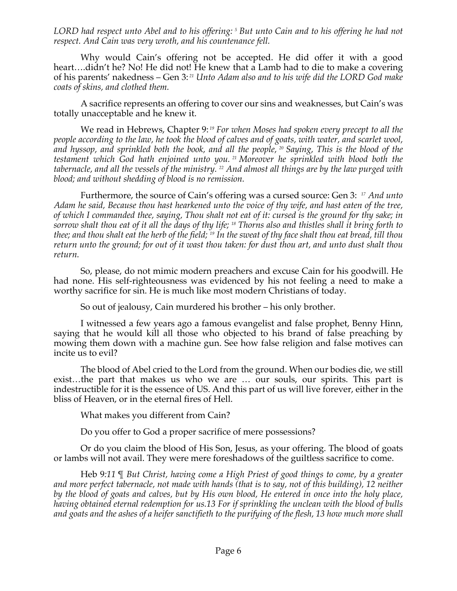*LORD had respect unto Abel and to his offering: <sup>5</sup> But unto Cain and to his offering he had not respect. And Cain was very wroth, and his countenance fell.*

Why would Cain's offering not be accepted. He did offer it with a good heart….didn't he? No! He did not! He knew that a Lamb had to die to make a covering of his parents' nakedness – Gen 3: *<sup>21</sup> Unto Adam also and to his wife did the LORD God make coats of skins, and clothed them.*

A sacrifice represents an offering to cover our sins and weaknesses, but Cain's was totally unacceptable and he knew it.

We read in Hebrews, Chapter 9: *<sup>19</sup> For when Moses had spoken every precept to all the people according to the law, he took the blood of calves and of goats, with water, and scarlet wool, and hyssop, and sprinkled both the book, and all the people, <sup>20</sup> Saying, This is the blood of the testament which God hath enjoined unto you. <sup>21</sup> Moreover he sprinkled with blood both the tabernacle, and all the vessels of the ministry. <sup>22</sup> And almost all things are by the law purged with blood; and without shedding of blood is no remission.*

Furthermore, the source of Cain's offering was a cursed source: Gen 3: *<sup>17</sup> And unto Adam he said, Because thou hast hearkened unto the voice of thy wife, and hast eaten of the tree, of which I commanded thee, saying, Thou shalt not eat of it: cursed is the ground for thy sake; in sorrow shalt thou eat of it all the days of thy life; <sup>18</sup> Thorns also and thistles shall it bring forth to thee; and thou shalt eat the herb of the field; <sup>19</sup> In the sweat of thy face shalt thou eat bread, till thou return unto the ground; for out of it wast thou taken: for dust thou art, and unto dust shalt thou return.*

So, please, do not mimic modern preachers and excuse Cain for his goodwill. He had none. His self-righteousness was evidenced by his not feeling a need to make a worthy sacrifice for sin. He is much like most modern Christians of today.

So out of jealousy, Cain murdered his brother – his only brother.

I witnessed a few years ago a famous evangelist and false prophet, Benny Hinn, saying that he would kill all those who objected to his brand of false preaching by mowing them down with a machine gun. See how false religion and false motives can incite us to evil?

The blood of Abel cried to the Lord from the ground. When our bodies die, we still exist…the part that makes us who we are … our souls, our spirits. This part is indestructible for it is the essence of US. And this part of us will live forever, either in the bliss of Heaven, or in the eternal fires of Hell.

What makes you different from Cain?

Do you offer to God a proper sacrifice of mere possessions?

Or do you claim the blood of His Son, Jesus, as your offering. The blood of goats or lambs will not avail. They were mere foreshadows of the guiltless sacrifice to come.

Heb 9*:11* ¶ *But Christ, having come a High Priest of good things to come, by a greater and more perfect tabernacle, not made with hands (that is to say, not of this building), 12 neither by the blood of goats and calves, but by His own blood, He entered in once into the holy place, having obtained eternal redemption for us.13 For if sprinkling the unclean with the blood of bulls and goats and the ashes of a heifer sanctifieth to the purifying of the flesh, 13 how much more shall*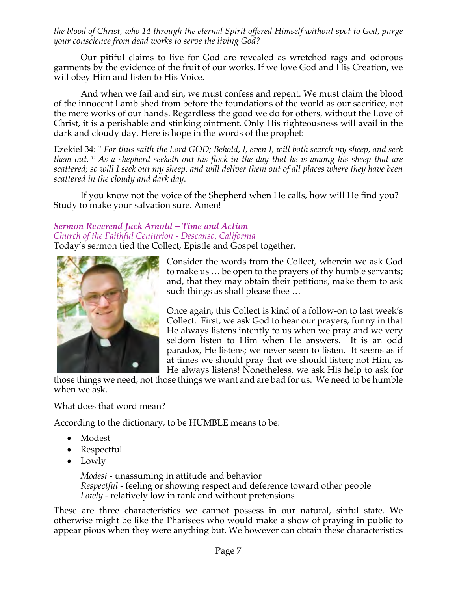*the blood of Christ, who 14 through the eternal Spirit offered Himself without spot to God, purge your conscience from dead works to serve the living God?*

Our pitiful claims to live for God are revealed as wretched rags and odorous garments by the evidence of the fruit of our works. If we love God and His Creation, we will obey Him and listen to His Voice.

And when we fail and sin, we must confess and repent. We must claim the blood of the innocent Lamb shed from before the foundations of the world as our sacrifice, not the mere works of our hands. Regardless the good we do for others, without the Love of Christ, it is a perishable and stinking ointment. Only His righteousness will avail in the dark and cloudy day. Here is hope in the words of the prophet:

Ezekiel 34: *<sup>11</sup> For thus saith the Lord GOD; Behold, I, even I, will both search my sheep, and seek them out. <sup>12</sup> As a shepherd seeketh out his flock in the day that he is among his sheep that are scattered; so will I seek out my sheep, and will deliver them out of all places where they have been scattered in the cloudy and dark day*.

If you know not the voice of the Shepherd when He calls, how will He find you? Study to make your salvation sure. Amen!

# *Sermon Reverend Jack Arnold – Time and Action Church of the Faithful Centurion - Descanso, California*

Today's sermon tied the Collect, Epistle and Gospel together.



Consider the words from the Collect, wherein we ask God to make us … be open to the prayers of thy humble servants; and, that they may obtain their petitions, make them to ask such things as shall please thee …

Once again, this Collect is kind of a follow-on to last week's Collect. First, we ask God to hear our prayers, funny in that He always listens intently to us when we pray and we very seldom listen to Him when He answers. It is an odd paradox, He listens; we never seem to listen. It seems as if at times we should pray that we should listen; not Him, as He always listens! Nonetheless, we ask His help to ask for

those things we need, not those things we want and are bad for us. We need to be humble when we ask.

What does that word mean?

According to the dictionary, to be HUMBLE means to be:

- Modest
- Respectful
- Lowly

*Modest* - unassuming in attitude and behavior *Respectful* - feeling or showing respect and deference toward other people *Lowly* - relatively low in rank and without pretensions

These are three characteristics we cannot possess in our natural, sinful state. We otherwise might be like the Pharisees who would make a show of praying in public to appear pious when they were anything but. We however can obtain these characteristics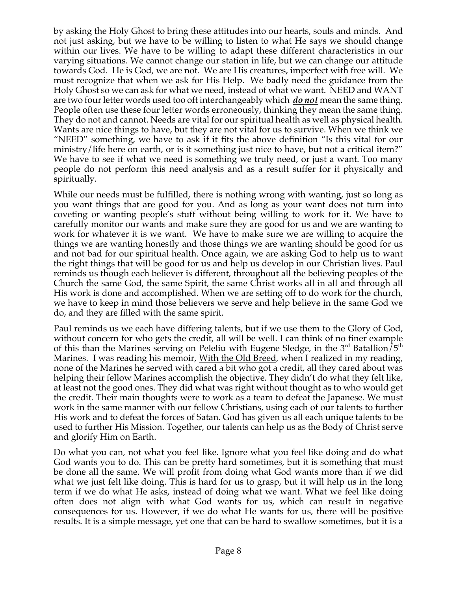by asking the Holy Ghost to bring these attitudes into our hearts, souls and minds. And not just asking, but we have to be willing to listen to what He says we should change within our lives. We have to be willing to adapt these different characteristics in our varying situations. We cannot change our station in life, but we can change our attitude towards God. He is God, we are not. We are His creatures, imperfect with free will. We must recognize that when we ask for His Help. We badly need the guidance from the Holy Ghost so we can ask for what we need, instead of what we want. NEED and WANT are two four letter words used too oft interchangeably which *do not* mean the same thing. People often use these four letter words erroneously, thinking they mean the same thing. They do not and cannot. Needs are vital for our spiritual health as well as physical health. Wants are nice things to have, but they are not vital for us to survive. When we think we "NEED" something, we have to ask if it fits the above definition "Is this vital for our ministry/life here on earth, or is it something just nice to have, but not a critical item?" We have to see if what we need is something we truly need, or just a want. Too many people do not perform this need analysis and as a result suffer for it physically and spiritually.

While our needs must be fulfilled, there is nothing wrong with wanting, just so long as you want things that are good for you. And as long as your want does not turn into coveting or wanting people's stuff without being willing to work for it. We have to carefully monitor our wants and make sure they are good for us and we are wanting to work for whatever it is we want. We have to make sure we are willing to acquire the things we are wanting honestly and those things we are wanting should be good for us and not bad for our spiritual health. Once again, we are asking God to help us to want the right things that will be good for us and help us develop in our Christian lives. Paul reminds us though each believer is different, throughout all the believing peoples of the Church the same God, the same Spirit, the same Christ works all in all and through all His work is done and accomplished. When we are setting off to do work for the church, we have to keep in mind those believers we serve and help believe in the same God we do, and they are filled with the same spirit.

Paul reminds us we each have differing talents, but if we use them to the Glory of God, without concern for who gets the credit, all will be well. I can think of no finer example of this than the Marines serving on Peleliu with Eugene Sledge, in the  $3<sup>rd</sup>$  Batallion/ $5<sup>th</sup>$ Marines. I was reading his memoir, With the Old Breed, when I realized in my reading, none of the Marines he served with cared a bit who got a credit, all they cared about was helping their fellow Marines accomplish the objective. They didn't do what they felt like, at least not the good ones. They did what was right without thought as to who would get the credit. Their main thoughts were to work as a team to defeat the Japanese. We must work in the same manner with our fellow Christians, using each of our talents to further His work and to defeat the forces of Satan. God has given us all each unique talents to be used to further His Mission. Together, our talents can help us as the Body of Christ serve and glorify Him on Earth.

Do what you can, not what you feel like. Ignore what you feel like doing and do what God wants you to do. This can be pretty hard sometimes, but it is something that must be done all the same. We will profit from doing what God wants more than if we did what we just felt like doing. This is hard for us to grasp, but it will help us in the long term if we do what He asks, instead of doing what we want. What we feel like doing often does not align with what God wants for us, which can result in negative consequences for us. However, if we do what He wants for us, there will be positive results. It is a simple message, yet one that can be hard to swallow sometimes, but it is a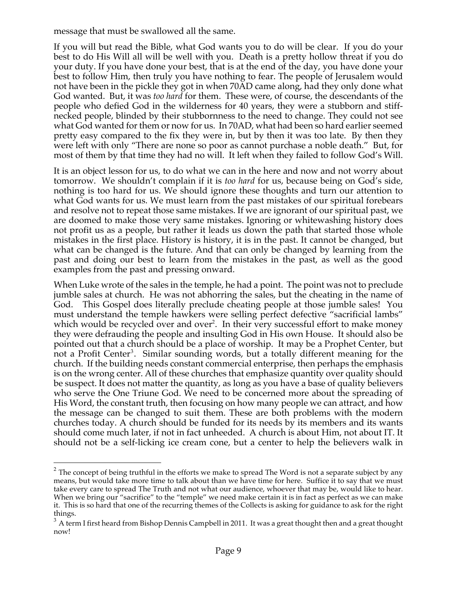message that must be swallowed all the same.

If you will but read the Bible, what God wants you to do will be clear. If you do your best to do His Will all will be well with you. Death is a pretty hollow threat if you do your duty. If you have done your best, that is at the end of the day, you have done your best to follow Him, then truly you have nothing to fear. The people of Jerusalem would not have been in the pickle they got in when 70AD came along, had they only done what God wanted. But, it was *too hard* for them. These were, of course, the descendants of the people who defied God in the wilderness for 40 years, they were a stubborn and stiffnecked people, blinded by their stubbornness to the need to change. They could not see what God wanted for them or now for us. In 70AD, what had been so hard earlier seemed pretty easy compared to the fix they were in, but by then it was too late. By then they were left with only "There are none so poor as cannot purchase a noble death." But, for most of them by that time they had no will. It left when they failed to follow God's Will.

It is an object lesson for us, to do what we can in the here and now and not worry about tomorrow. We shouldn't complain if it is *too hard* for us, because being on God's side, nothing is too hard for us. We should ignore these thoughts and turn our attention to what God wants for us. We must learn from the past mistakes of our spiritual forebears and resolve not to repeat those same mistakes. If we are ignorant of our spiritual past, we are doomed to make those very same mistakes. Ignoring or whitewashing history does not profit us as a people, but rather it leads us down the path that started those whole mistakes in the first place. History is history, it is in the past. It cannot be changed, but what can be changed is the future. And that can only be changed by learning from the past and doing our best to learn from the mistakes in the past, as well as the good examples from the past and pressing onward.

When Luke wrote of the sales in the temple, he had a point. The point was not to preclude jumble sales at church. He was not abhorring the sales, but the cheating in the name of God. This Gospel does literally preclude cheating people at those jumble sales! You must understand the temple hawkers were selling perfect defective "sacrificial lambs" which would be recycled over and over<sup>2</sup>. In their very successful effort to make money they were defrauding the people and insulting God in His own House. It should also be pointed out that a church should be a place of worship. It may be a Prophet Center, but not a Profit Center<sup>3</sup>. Similar sounding words, but a totally different meaning for the church. If the building needs constant commercial enterprise, then perhaps the emphasis is on the wrong center. All of these churches that emphasize quantity over quality should be suspect. It does not matter the quantity, as long as you have a base of quality believers who serve the One Triune God. We need to be concerned more about the spreading of His Word, the constant truth, then focusing on how many people we can attract, and how the message can be changed to suit them. These are both problems with the modern churches today. A church should be funded for its needs by its members and its wants should come much later, if not in fact unheeded. A church is about Him, not about IT. It should not be a self-licking ice cream cone, but a center to help the believers walk in

 $2$  The concept of being truthful in the efforts we make to spread The Word is not a separate subject by any means, but would take more time to talk about than we have time for here. Suffice it to say that we must take every care to spread The Truth and not what our audience, whoever that may be, would like to hear. When we bring our "sacrifice" to the "temple" we need make certain it is in fact as perfect as we can make it. This is so hard that one of the recurring themes of the Collects is asking for guidance to ask for the right things.

 $3$  A term I first heard from Bishop Dennis Campbell in 2011. It was a great thought then and a great thought now!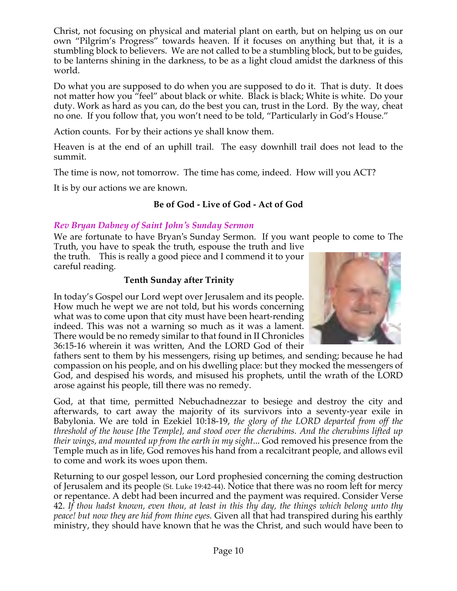Christ, not focusing on physical and material plant on earth, but on helping us on our own "Pilgrim's Progress" towards heaven. If it focuses on anything but that, it is a stumbling block to believers. We are not called to be a stumbling block, but to be guides, to be lanterns shining in the darkness, to be as a light cloud amidst the darkness of this world.

Do what you are supposed to do when you are supposed to do it. That is duty. It does not matter how you "feel" about black or white. Black is black; White is white. Do your duty. Work as hard as you can, do the best you can, trust in the Lord. By the way, cheat no one. If you follow that, you won't need to be told, "Particularly in God's House."

Action counts. For by their actions ye shall know them.

Heaven is at the end of an uphill trail. The easy downhill trail does not lead to the summit.

The time is now, not tomorrow. The time has come, indeed. How will you ACT?

It is by our actions we are known.

# **Be of God - Live of God - Act of God**

#### *Rev Bryan Dabney of Saint John's Sunday Sermon*

We are fortunate to have Bryan's Sunday Sermon. If you want people to come to The Truth, you have to speak the truth, espouse the truth and live

the truth. This is really a good piece and I commend it to your careful reading.

#### **Tenth Sunday after Trinity**

In today's Gospel our Lord wept over Jerusalem and its people. How much he wept we are not told, but his words concerning what was to come upon that city must have been heart-rending indeed. This was not a warning so much as it was a lament. There would be no remedy similar to that found in II Chronicles 36:15-16 wherein it was written, And the LORD God of their

fathers sent to them by his messengers, rising up betimes, and sending; because he had compassion on his people, and on his dwelling place: but they mocked the messengers of God, and despised his words, and misused his prophets, until the wrath of the LORD arose against his people, till there was no remedy.

God, at that time, permitted Nebuchadnezzar to besiege and destroy the city and afterwards, to cart away the majority of its survivors into a seventy-year exile in Babylonia. We are told in Ezekiel 10:18-19, *the glory of the LORD departed from off the threshold of the house [the Temple], and stood over the cherubims. And the cherubims lifted up their wings, and mounted up from the earth in my sight*... God removed his presence from the Temple much as in life, God removes his hand from a recalcitrant people, and allows evil to come and work its woes upon them.

Returning to our gospel lesson, our Lord prophesied concerning the coming destruction of Jerusalem and its people (St. Luke 19:42-44). Notice that there was no room left for mercy or repentance. A debt had been incurred and the payment was required. Consider Verse 42. *If thou hadst known, even thou, at least in this thy day, the things which belong unto thy peace! but now they are hid from thine eyes.* Given all that had transpired during his earthly ministry, they should have known that he was the Christ, and such would have been to

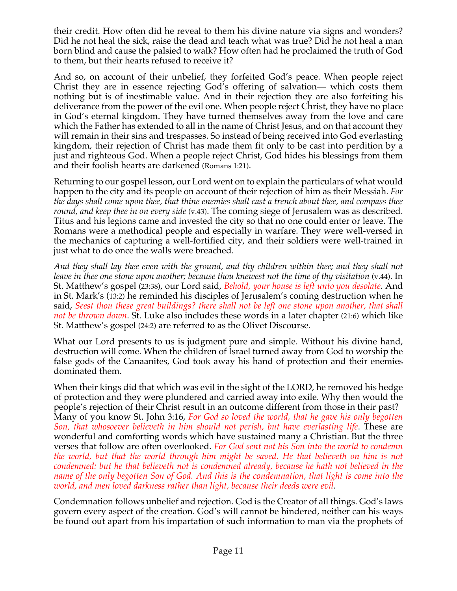their credit. How often did he reveal to them his divine nature via signs and wonders? Did he not heal the sick, raise the dead and teach what was true? Did he not heal a man born blind and cause the palsied to walk? How often had he proclaimed the truth of God to them, but their hearts refused to receive it?

And so, on account of their unbelief, they forfeited God's peace. When people reject Christ they are in essence rejecting God's offering of salvation— which costs them nothing but is of inestimable value. And in their rejection they are also forfeiting his deliverance from the power of the evil one. When people reject Christ, they have no place in God's eternal kingdom. They have turned themselves away from the love and care which the Father has extended to all in the name of Christ Jesus, and on that account they will remain in their sins and trespasses. So instead of being received into God everlasting kingdom, their rejection of Christ has made them fit only to be cast into perdition by a just and righteous God. When a people reject Christ, God hides his blessings from them and their foolish hearts are darkened (Romans 1:21).

Returning to our gospel lesson, our Lord went on to explain the particulars of what would happen to the city and its people on account of their rejection of him as their Messiah. *For the days shall come upon thee, that thine enemies shall cast a trench about thee, and compass thee round, and keep thee in on every side* (v.43). The coming siege of Jerusalem was as described. Titus and his legions came and invested the city so that no one could enter or leave. The Romans were a methodical people and especially in warfare. They were well-versed in the mechanics of capturing a well-fortified city, and their soldiers were well-trained in just what to do once the walls were breached.

*And they shall lay thee even with the ground, and thy children within thee; and they shall not leave in thee one stone upon another; because thou knewest not the time of thy visitation* (v.44). In St. Matthew's gospel (23:38), our Lord said, *Behold, your house is left unto you desolate*. And in St. Mark's (13:2) he reminded his disciples of Jerusalem's coming destruction when he said, *Seest thou these great buildings? there shall not be left one stone upon another, that shall not be thrown down*. St. Luke also includes these words in a later chapter (21:6) which like St. Matthew's gospel (24:2) are referred to as the Olivet Discourse.

What our Lord presents to us is judgment pure and simple. Without his divine hand, destruction will come. When the children of Israel turned away from God to worship the false gods of the Canaanites, God took away his hand of protection and their enemies dominated them.

When their kings did that which was evil in the sight of the LORD, he removed his hedge of protection and they were plundered and carried away into exile. Why then would the people's rejection of their Christ result in an outcome different from those in their past? Many of you know St. John 3:16, *For God so loved the world, that he gave his only begotten Son, that whosoever believeth in him should not perish, but have everlasting life*. These are wonderful and comforting words which have sustained many a Christian. But the three verses that follow are often overlooked. *For God sent not his Son into the world to condemn the world, but that the world through him might be saved. He that believeth on him is not condemned: but he that believeth not is condemned already, because he hath not believed in the* name of the only begotten Son of God. And this is the condemnation, that light is come into the *world, and men loved darkness rather than light, because their deeds were evil*.

Condemnation follows unbelief and rejection. God is the Creator of all things. God's laws govern every aspect of the creation. God's will cannot be hindered, neither can his ways be found out apart from his impartation of such information to man via the prophets of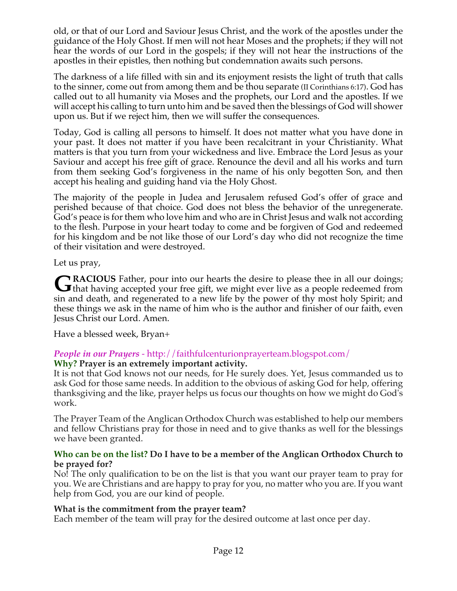old, or that of our Lord and Saviour Jesus Christ, and the work of the apostles under the guidance of the Holy Ghost. If men will not hear Moses and the prophets; if they will not hear the words of our Lord in the gospels; if they will not hear the instructions of the apostles in their epistles, then nothing but condemnation awaits such persons.

The darkness of a life filled with sin and its enjoyment resists the light of truth that calls to the sinner, come out from among them and be thou separate (II Corinthians 6:17). God has called out to all humanity via Moses and the prophets, our Lord and the apostles. If we will accept his calling to turn unto him and be saved then the blessings of God will shower upon us. But if we reject him, then we will suffer the consequences.

Today, God is calling all persons to himself. It does not matter what you have done in your past. It does not matter if you have been recalcitrant in your Christianity. What matters is that you turn from your wickedness and live. Embrace the Lord Jesus as your Saviour and accept his free gift of grace. Renounce the devil and all his works and turn from them seeking God's forgiveness in the name of his only begotten Son, and then accept his healing and guiding hand via the Holy Ghost.

The majority of the people in Judea and Jerusalem refused God's offer of grace and perished because of that choice. God does not bless the behavior of the unregenerate. God's peace is for them who love him and who are in Christ Jesus and walk not according to the flesh. Purpose in your heart today to come and be forgiven of God and redeemed for his kingdom and be not like those of our Lord's day who did not recognize the time of their visitation and were destroyed.

Let us pray,

**RACIOUS** Father, pour into our hearts the desire to please thee in all our doings; GRACIOUS Father, pour into our hearts the desire to please thee in all our doings;<br>that having accepted your free gift, we might ever live as a people redeemed from sin and death, and regenerated to a new life by the power of thy most holy Spirit; and these things we ask in the name of him who is the author and finisher of our faith, even Jesus Christ our Lord. Amen.

Have a blessed week, Bryan+

#### *People in our Prayers* - http://faithfulcenturionprayerteam.blogspot.com/ **Why? Prayer is an extremely important activity.**

It is not that God knows not our needs, for He surely does. Yet, Jesus commanded us to ask God for those same needs. In addition to the obvious of asking God for help, offering thanksgiving and the like, prayer helps us focus our thoughts on how we might do God's work.

The Prayer Team of the Anglican Orthodox Church was established to help our members and fellow Christians pray for those in need and to give thanks as well for the blessings we have been granted.

#### **Who can be on the list? Do I have to be a member of the Anglican Orthodox Church to be prayed for?**

No! The only qualification to be on the list is that you want our prayer team to pray for you. We are Christians and are happy to pray for you, no matter who you are. If you want help from God, you are our kind of people.

# **What is the commitment from the prayer team?**

Each member of the team will pray for the desired outcome at last once per day.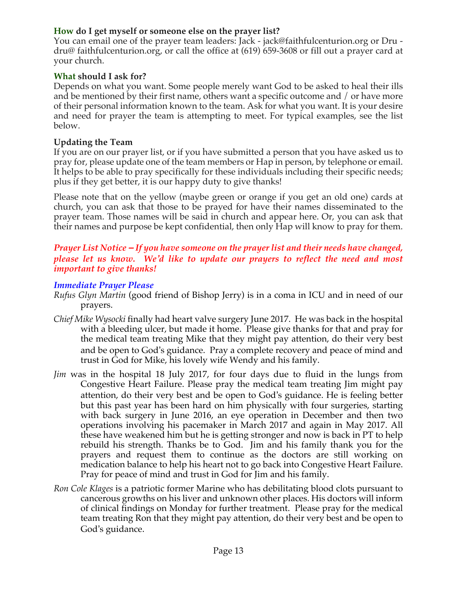# **How do I get myself or someone else on the prayer list?**

You can email one of the prayer team leaders: Jack - jack@faithfulcenturion.org or Dru dru@ faithfulcenturion.org, or call the office at (619) 659-3608 or fill out a prayer card at your church.

#### **What should I ask for?**

Depends on what you want. Some people merely want God to be asked to heal their ills and be mentioned by their first name, others want a specific outcome and / or have more of their personal information known to the team. Ask for what you want. It is your desire and need for prayer the team is attempting to meet. For typical examples, see the list below.

#### **Updating the Team**

If you are on our prayer list, or if you have submitted a person that you have asked us to pray for, please update one of the team members or Hap in person, by telephone or email. It helps to be able to pray specifically for these individuals including their specific needs; plus if they get better, it is our happy duty to give thanks!

Please note that on the yellow (maybe green or orange if you get an old one) cards at church, you can ask that those to be prayed for have their names disseminated to the prayer team. Those names will be said in church and appear here. Or, you can ask that their names and purpose be kept confidential, then only Hap will know to pray for them.

# *Prayer List Notice – If you have someone on the prayer list and their needs have changed, please let us know. We'd like to update our prayers to reflect the need and most important to give thanks!*

#### *Immediate Prayer Please*

- *Rufus Glyn Martin* (good friend of Bishop Jerry) is in a coma in ICU and in need of our prayers.
- *Chief Mike Wysocki* finally had heart valve surgery June 2017. He was back in the hospital with a bleeding ulcer, but made it home. Please give thanks for that and pray for the medical team treating Mike that they might pay attention, do their very best and be open to God's guidance. Pray a complete recovery and peace of mind and trust in God for Mike, his lovely wife Wendy and his family.
- *Jim* was in the hospital 18 July 2017, for four days due to fluid in the lungs from Congestive Heart Failure. Please pray the medical team treating Jim might pay attention, do their very best and be open to God's guidance. He is feeling better but this past year has been hard on him physically with four surgeries, starting with back surgery in June 2016, an eye operation in December and then two operations involving his pacemaker in March 2017 and again in May 2017. All these have weakened him but he is getting stronger and now is back in PT to help rebuild his strength. Thanks be to God. Jim and his family thank you for the prayers and request them to continue as the doctors are still working on medication balance to help his heart not to go back into Congestive Heart Failure. Pray for peace of mind and trust in God for Jim and his family.
- *Ron Cole Klages* is a patriotic former Marine who has debilitating blood clots pursuant to cancerous growths on his liver and unknown other places. His doctors will inform of clinical findings on Monday for further treatment. Please pray for the medical team treating Ron that they might pay attention, do their very best and be open to God's guidance.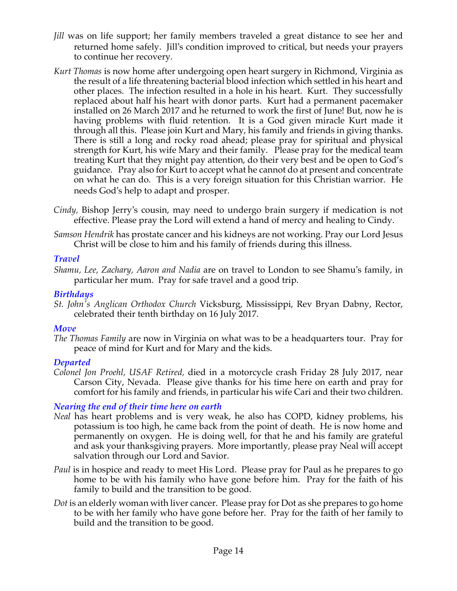- *Jill* was on life support; her family members traveled a great distance to see her and returned home safely. Jill's condition improved to critical, but needs your prayers to continue her recovery.
- *Kurt Thomas* is now home after undergoing open heart surgery in Richmond, Virginia as the result of a life threatening bacterial blood infection which settled in his heart and other places. The infection resulted in a hole in his heart. Kurt. They successfully replaced about half his heart with donor parts. Kurt had a permanent pacemaker installed on 26 March 2017 and he returned to work the first of June! But, now he is having problems with fluid retention. It is a God given miracle Kurt made it through all this. Please join Kurt and Mary, his family and friends in giving thanks. There is still a long and rocky road ahead; please pray for spiritual and physical strength for Kurt, his wife Mary and their family. Please pray for the medical team treating Kurt that they might pay attention, do their very best and be open to God's guidance. Pray also for Kurt to accept what he cannot do at present and concentrate on what he can do. This is a very foreign situation for this Christian warrior. He needs God's help to adapt and prosper.
- *Cindy,* Bishop Jerry's cousin, may need to undergo brain surgery if medication is not effective. Please pray the Lord will extend a hand of mercy and healing to Cindy.
- *Samson Hendrik* has prostate cancer and his kidneys are not working. Pray our Lord Jesus Christ will be close to him and his family of friends during this illness.

# *Travel*

*Shamu, Lee, Zachary, Aaron and Nadia* are on travel to London to see Shamu's family, in particular her mum. Pray for safe travel and a good trip.

# *Birthdays*

*St. John's Anglican Orthodox Church* Vicksburg, Mississippi, Rev Bryan Dabny, Rector, celebrated their tenth birthday on 16 July 2017.

# *Move*

*The Thomas Family* are now in Virginia on what was to be a headquarters tour. Pray for peace of mind for Kurt and for Mary and the kids.

# *Departed*

*Colonel Jon Proehl, USAF Retired,* died in a motorcycle crash Friday 28 July 2017, near Carson City, Nevada. Please give thanks for his time here on earth and pray for comfort for his family and friends, in particular his wife Cari and their two children.

# *Nearing the end of their time here on earth*

- *Neal* has heart problems and is very weak, he also has COPD, kidney problems, his potassium is too high, he came back from the point of death. He is now home and permanently on oxygen. He is doing well, for that he and his family are grateful and ask your thanksgiving prayers. More importantly, please pray Neal will accept salvation through our Lord and Savior.
- *Paul* is in hospice and ready to meet His Lord. Please pray for Paul as he prepares to go home to be with his family who have gone before him. Pray for the faith of his family to build and the transition to be good.
- *Dot* is an elderly woman with liver cancer. Please pray for Dot as she prepares to go home to be with her family who have gone before her. Pray for the faith of her family to build and the transition to be good.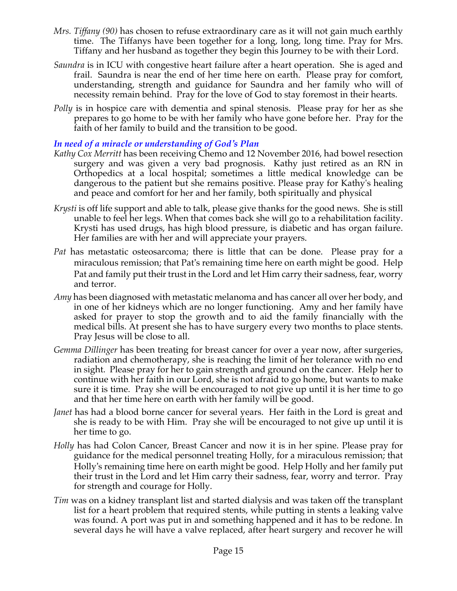- *Mrs. Tiffany (90)* has chosen to refuse extraordinary care as it will not gain much earthly time. The Tiffanys have been together for a long, long, long time. Pray for Mrs. Tiffany and her husband as together they begin this Journey to be with their Lord.
- *Saundra* is in ICU with congestive heart failure after a heart operation. She is aged and frail. Saundra is near the end of her time here on earth. Please pray for comfort, understanding, strength and guidance for Saundra and her family who will of necessity remain behind. Pray for the love of God to stay foremost in their hearts.
- *Polly* is in hospice care with dementia and spinal stenosis. Please pray for her as she prepares to go home to be with her family who have gone before her. Pray for the faith of her family to build and the transition to be good.

#### *In need of a miracle or understanding of God's Plan*

- *Kathy Cox Merritt* has been receiving Chemo and 12 November 2016, had bowel resection surgery and was given a very bad prognosis. Kathy just retired as an RN in Orthopedics at a local hospital; sometimes a little medical knowledge can be dangerous to the patient but she remains positive. Please pray for Kathy's healing and peace and comfort for her and her family, both spiritually and physical
- *Krysti* is off life support and able to talk, please give thanks for the good news. She is still unable to feel her legs. When that comes back she will go to a rehabilitation facility. Krysti has used drugs, has high blood pressure, is diabetic and has organ failure. Her families are with her and will appreciate your prayers.
- *Pat* has metastatic osteosarcoma; there is little that can be done. Please pray for a miraculous remission; that Pat's remaining time here on earth might be good. Help Pat and family put their trust in the Lord and let Him carry their sadness, fear, worry and terror.
- *Amy* has been diagnosed with metastatic melanoma and has cancer all over her body, and in one of her kidneys which are no longer functioning. Amy and her family have asked for prayer to stop the growth and to aid the family financially with the medical bills. At present she has to have surgery every two months to place stents. Pray Jesus will be close to all.
- *Gemma Dillinger* has been treating for breast cancer for over a year now, after surgeries, radiation and chemotherapy, she is reaching the limit of her tolerance with no end in sight. Please pray for her to gain strength and ground on the cancer. Help her to continue with her faith in our Lord, she is not afraid to go home, but wants to make sure it is time. Pray she will be encouraged to not give up until it is her time to go and that her time here on earth with her family will be good.
- *Janet* has had a blood borne cancer for several years. Her faith in the Lord is great and she is ready to be with Him. Pray she will be encouraged to not give up until it is her time to go.
- *Holly* has had Colon Cancer, Breast Cancer and now it is in her spine. Please pray for guidance for the medical personnel treating Holly, for a miraculous remission; that Holly's remaining time here on earth might be good. Help Holly and her family put their trust in the Lord and let Him carry their sadness, fear, worry and terror. Pray for strength and courage for Holly.
- *Tim* was on a kidney transplant list and started dialysis and was taken off the transplant list for a heart problem that required stents, while putting in stents a leaking valve was found. A port was put in and something happened and it has to be redone. In several days he will have a valve replaced, after heart surgery and recover he will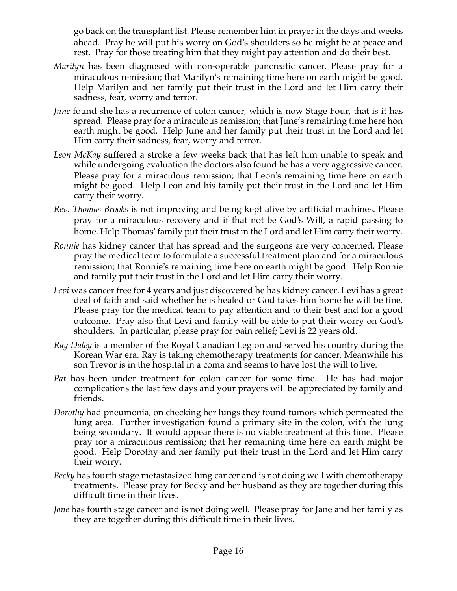go back on the transplant list. Please remember him in prayer in the days and weeks ahead. Pray he will put his worry on God's shoulders so he might be at peace and rest. Pray for those treating him that they might pay attention and do their best.

- *Marilyn* has been diagnosed with non-operable pancreatic cancer. Please pray for a miraculous remission; that Marilyn's remaining time here on earth might be good. Help Marilyn and her family put their trust in the Lord and let Him carry their sadness, fear, worry and terror.
- *June* found she has a recurrence of colon cancer, which is now Stage Four, that is it has spread. Please pray for a miraculous remission; that June's remaining time here hon earth might be good. Help June and her family put their trust in the Lord and let Him carry their sadness, fear, worry and terror.
- *Leon McKay* suffered a stroke a few weeks back that has left him unable to speak and while undergoing evaluation the doctors also found he has a very aggressive cancer. Please pray for a miraculous remission; that Leon's remaining time here on earth might be good. Help Leon and his family put their trust in the Lord and let Him carry their worry.
- *Rev. Thomas Brooks* is not improving and being kept alive by artificial machines. Please pray for a miraculous recovery and if that not be God's Will, a rapid passing to home. Help Thomas' family put their trust in the Lord and let Him carry their worry.
- *Ronnie* has kidney cancer that has spread and the surgeons are very concerned. Please pray the medical team to formulate a successful treatment plan and for a miraculous remission; that Ronnie's remaining time here on earth might be good. Help Ronnie and family put their trust in the Lord and let Him carry their worry.
- *Levi* was cancer free for 4 years and just discovered he has kidney cancer. Levi has a great deal of faith and said whether he is healed or God takes him home he will be fine. Please pray for the medical team to pay attention and to their best and for a good outcome. Pray also that Levi and family will be able to put their worry on God's shoulders. In particular, please pray for pain relief; Levi is 22 years old.
- *Ray Daley* is a member of the Royal Canadian Legion and served his country during the Korean War era. Ray is taking chemotherapy treatments for cancer. Meanwhile his son Trevor is in the hospital in a coma and seems to have lost the will to live.
- *Pat* has been under treatment for colon cancer for some time. He has had major complications the last few days and your prayers will be appreciated by family and friends.
- *Dorothy* had pneumonia, on checking her lungs they found tumors which permeated the lung area. Further investigation found a primary site in the colon, with the lung being secondary. It would appear there is no viable treatment at this time. Please pray for a miraculous remission; that her remaining time here on earth might be good. Help Dorothy and her family put their trust in the Lord and let Him carry their worry.
- *Becky* has fourth stage metastasized lung cancer and is not doing well with chemotherapy treatments. Please pray for Becky and her husband as they are together during this difficult time in their lives.
- *Jane* has fourth stage cancer and is not doing well. Please pray for Jane and her family as they are together during this difficult time in their lives.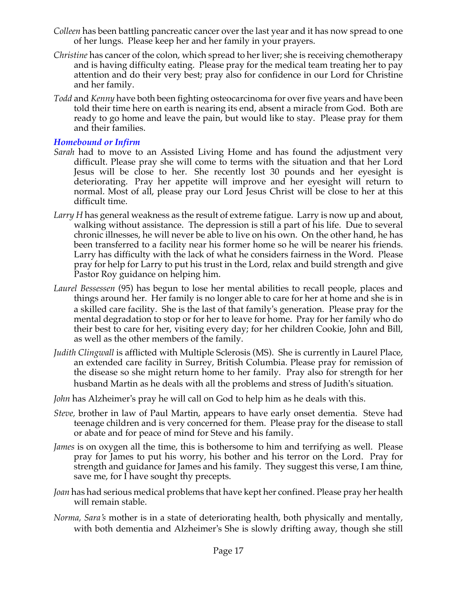- *Colleen* has been battling pancreatic cancer over the last year and it has now spread to one of her lungs. Please keep her and her family in your prayers.
- *Christine* has cancer of the colon, which spread to her liver; she is receiving chemotherapy and is having difficulty eating. Please pray for the medical team treating her to pay attention and do their very best; pray also for confidence in our Lord for Christine and her family.
- *Todd* and *Kenny* have both been fighting osteocarcinoma for over five years and have been told their time here on earth is nearing its end, absent a miracle from God. Both are ready to go home and leave the pain, but would like to stay. Please pray for them and their families.

#### *Homebound or Infirm*

- *Sarah* had to move to an Assisted Living Home and has found the adjustment very difficult. Please pray she will come to terms with the situation and that her Lord Jesus will be close to her. She recently lost 30 pounds and her eyesight is deteriorating. Pray her appetite will improve and her eyesight will return to normal. Most of all, please pray our Lord Jesus Christ will be close to her at this difficult time.
- *Larry H* has general weakness as the result of extreme fatigue. Larry is now up and about, walking without assistance. The depression is still a part of his life. Due to several chronic illnesses, he will never be able to live on his own. On the other hand, he has been transferred to a facility near his former home so he will be nearer his friends. Larry has difficulty with the lack of what he considers fairness in the Word. Please pray for help for Larry to put his trust in the Lord, relax and build strength and give Pastor Roy guidance on helping him.
- *Laurel Bessessen* (95) has begun to lose her mental abilities to recall people, places and things around her. Her family is no longer able to care for her at home and she is in a skilled care facility. She is the last of that family's generation. Please pray for the mental degradation to stop or for her to leave for home. Pray for her family who do their best to care for her, visiting every day; for her children Cookie, John and Bill, as well as the other members of the family.
- *Judith Clingwall* is afflicted with Multiple Sclerosis (MS). She is currently in Laurel Place, an extended care facility in Surrey, British Columbia. Please pray for remission of the disease so she might return home to her family. Pray also for strength for her husband Martin as he deals with all the problems and stress of Judith's situation.
- *John* has Alzheimer's pray he will call on God to help him as he deals with this.
- *Steve,* brother in law of Paul Martin, appears to have early onset dementia. Steve had teenage children and is very concerned for them. Please pray for the disease to stall or abate and for peace of mind for Steve and his family.
- *James* is on oxygen all the time, this is bothersome to him and terrifying as well. Please pray for James to put his worry, his bother and his terror on the Lord. Pray for strength and guidance for James and his family. They suggest this verse, I am thine, save me, for I have sought thy precepts.
- *Joan* has had serious medical problems that have kept her confined. Please pray her health will remain stable.
- *Norma, Sara's* mother is in a state of deteriorating health, both physically and mentally, with both dementia and Alzheimer's She is slowly drifting away, though she still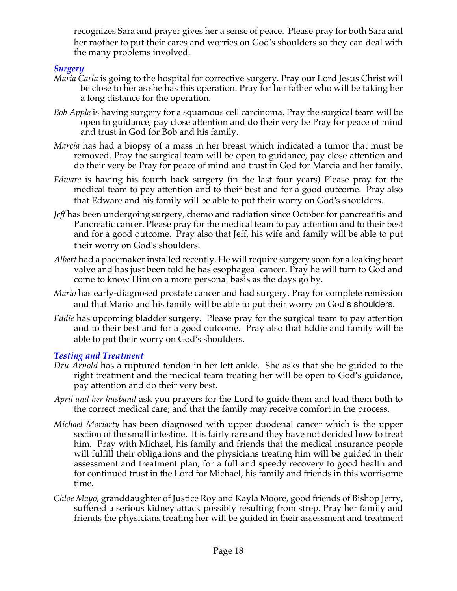recognizes Sara and prayer gives her a sense of peace. Please pray for both Sara and her mother to put their cares and worries on God's shoulders so they can deal with the many problems involved.

# *Surgery*

- *Maria Carla* is going to the hospital for corrective surgery. Pray our Lord Jesus Christ will be close to her as she has this operation. Pray for her father who will be taking her a long distance for the operation.
- *Bob Apple* is having surgery for a squamous cell carcinoma. Pray the surgical team will be open to guidance, pay close attention and do their very be Pray for peace of mind and trust in God for Bob and his family.
- *Marcia* has had a biopsy of a mass in her breast which indicated a tumor that must be removed. Pray the surgical team will be open to guidance, pay close attention and do their very be Pray for peace of mind and trust in God for Marcia and her family.
- *Edware* is having his fourth back surgery (in the last four years) Please pray for the medical team to pay attention and to their best and for a good outcome. Pray also that Edware and his family will be able to put their worry on God's shoulders.
- *Jeff* has been undergoing surgery, chemo and radiation since October for pancreatitis and Pancreatic cancer. Please pray for the medical team to pay attention and to their best and for a good outcome. Pray also that Jeff, his wife and family will be able to put their worry on God's shoulders.
- *Albert* had a pacemaker installed recently. He will require surgery soon for a leaking heart valve and has just been told he has esophageal cancer. Pray he will turn to God and come to know Him on a more personal basis as the days go by.
- *Mario* has early-diagnosed prostate cancer and had surgery. Pray for complete remission and that Mario and his family will be able to put their worry on God's shoulders.
- *Eddie* has upcoming bladder surgery. Please pray for the surgical team to pay attention and to their best and for a good outcome. Pray also that Eddie and family will be able to put their worry on God's shoulders.

# *Testing and Treatment*

- *Dru Arnold* has a ruptured tendon in her left ankle. She asks that she be guided to the right treatment and the medical team treating her will be open to God's guidance, pay attention and do their very best.
- *April and her husband* ask you prayers for the Lord to guide them and lead them both to the correct medical care; and that the family may receive comfort in the process.
- *Michael Moriarty* has been diagnosed with upper duodenal cancer which is the upper section of the small intestine. It is fairly rare and they have not decided how to treat him. Pray with Michael, his family and friends that the medical insurance people will fulfill their obligations and the physicians treating him will be guided in their assessment and treatment plan, for a full and speedy recovery to good health and for continued trust in the Lord for Michael, his family and friends in this worrisome time.
- *Chloe Mayo*, granddaughter of Justice Roy and Kayla Moore, good friends of Bishop Jerry, suffered a serious kidney attack possibly resulting from strep. Pray her family and friends the physicians treating her will be guided in their assessment and treatment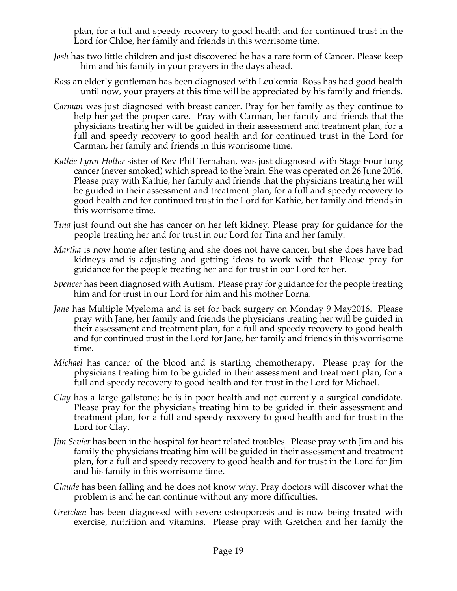plan, for a full and speedy recovery to good health and for continued trust in the Lord for Chloe, her family and friends in this worrisome time.

- *Josh* has two little children and just discovered he has a rare form of Cancer. Please keep him and his family in your prayers in the days ahead.
- *Ross* an elderly gentleman has been diagnosed with Leukemia. Ross has had good health until now, your prayers at this time will be appreciated by his family and friends.
- *Carman* was just diagnosed with breast cancer. Pray for her family as they continue to help her get the proper care. Pray with Carman, her family and friends that the physicians treating her will be guided in their assessment and treatment plan, for a full and speedy recovery to good health and for continued trust in the Lord for Carman, her family and friends in this worrisome time.
- *Kathie Lynn Holter* sister of Rev Phil Ternahan, was just diagnosed with Stage Four lung cancer (never smoked) which spread to the brain. She was operated on 26 June 2016. Please pray with Kathie, her family and friends that the physicians treating her will be guided in their assessment and treatment plan, for a full and speedy recovery to good health and for continued trust in the Lord for Kathie, her family and friends in this worrisome time.
- *Tina* just found out she has cancer on her left kidney. Please pray for guidance for the people treating her and for trust in our Lord for Tina and her family.
- *Martha* is now home after testing and she does not have cancer, but she does have bad kidneys and is adjusting and getting ideas to work with that. Please pray for guidance for the people treating her and for trust in our Lord for her.
- *Spencer* has been diagnosed with Autism. Please pray for guidance for the people treating him and for trust in our Lord for him and his mother Lorna.
- *Jane* has Multiple Myeloma and is set for back surgery on Monday 9 May2016. Please pray with Jane, her family and friends the physicians treating her will be guided in their assessment and treatment plan, for a full and speedy recovery to good health and for continued trust in the Lord for Jane, her family and friends in this worrisome time.
- *Michael* has cancer of the blood and is starting chemotherapy. Please pray for the physicians treating him to be guided in their assessment and treatment plan, for a full and speedy recovery to good health and for trust in the Lord for Michael.
- *Clay* has a large gallstone; he is in poor health and not currently a surgical candidate. Please pray for the physicians treating him to be guided in their assessment and treatment plan, for a full and speedy recovery to good health and for trust in the Lord for Clay.
- *Jim Sevier* has been in the hospital for heart related troubles. Please pray with Jim and his family the physicians treating him will be guided in their assessment and treatment plan, for a full and speedy recovery to good health and for trust in the Lord for Jim and his family in this worrisome time.
- *Claude* has been falling and he does not know why. Pray doctors will discover what the problem is and he can continue without any more difficulties.
- *Gretchen* has been diagnosed with severe osteoporosis and is now being treated with exercise, nutrition and vitamins. Please pray with Gretchen and her family the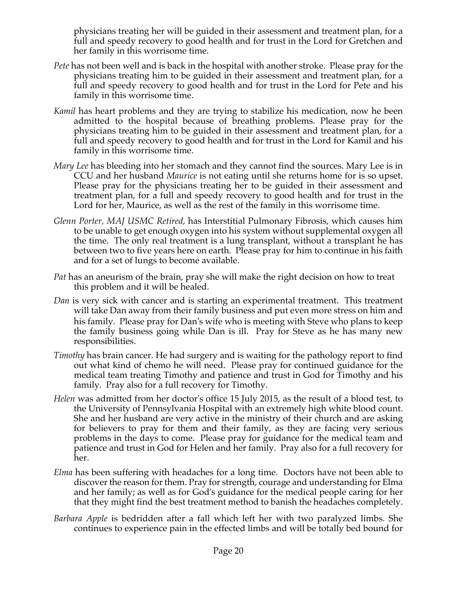physicians treating her will be guided in their assessment and treatment plan, for a full and speedy recovery to good health and for trust in the Lord for Gretchen and her family in this worrisome time.

- *Pete* has not been well and is back in the hospital with another stroke. Please pray for the physicians treating him to be guided in their assessment and treatment plan, for a full and speedy recovery to good health and for trust in the Lord for Pete and his family in this worrisome time.
- *Kamil* has heart problems and they are trying to stabilize his medication, now he been admitted to the hospital because of breathing problems. Please pray for the physicians treating him to be guided in their assessment and treatment plan, for a full and speedy recovery to good health and for trust in the Lord for Kamil and his family in this worrisome time.
- *Mary Lee* has bleeding into her stomach and they cannot find the sources. Mary Lee is in CCU and her husband *Maurice* is not eating until she returns home for is so upset. Please pray for the physicians treating her to be guided in their assessment and treatment plan, for a full and speedy recovery to good health and for trust in the Lord for her, Maurice, as well as the rest of the family in this worrisome time.
- *Glenn Porter, MAJ USMC Retired,* has Interstitial Pulmonary Fibrosis, which causes him to be unable to get enough oxygen into his system without supplemental oxygen all the time. The only real treatment is a lung transplant, without a transplant he has between two to five years here on earth. Please pray for him to continue in his faith and for a set of lungs to become available.
- *Pat* has an aneurism of the brain, pray she will make the right decision on how to treat this problem and it will be healed.
- *Dan* is very sick with cancer and is starting an experimental treatment. This treatment will take Dan away from their family business and put even more stress on him and his family. Please pray for Dan's wife who is meeting with Steve who plans to keep the family business going while Dan is ill. Pray for Steve as he has many new responsibilities.
- *Timothy* has brain cancer. He had surgery and is waiting for the pathology report to find out what kind of chemo he will need. Please pray for continued guidance for the medical team treating Timothy and patience and trust in God for Timothy and his family. Pray also for a full recovery for Timothy.
- *Helen* was admitted from her doctor's office 15 July 2015, as the result of a blood test, to the University of Pennsylvania Hospital with an extremely high white blood count. She and her husband are very active in the ministry of their church and are asking for believers to pray for them and their family, as they are facing very serious problems in the days to come. Please pray for guidance for the medical team and patience and trust in God for Helen and her family. Pray also for a full recovery for her.
- *Elma* has been suffering with headaches for a long time. Doctors have not been able to discover the reason for them. Pray for strength, courage and understanding for Elma and her family; as well as for God's guidance for the medical people caring for her that they might find the best treatment method to banish the headaches completely.
- *Barbara Apple* is bedridden after a fall which left her with two paralyzed limbs. She continues to experience pain in the effected limbs and will be totally bed bound for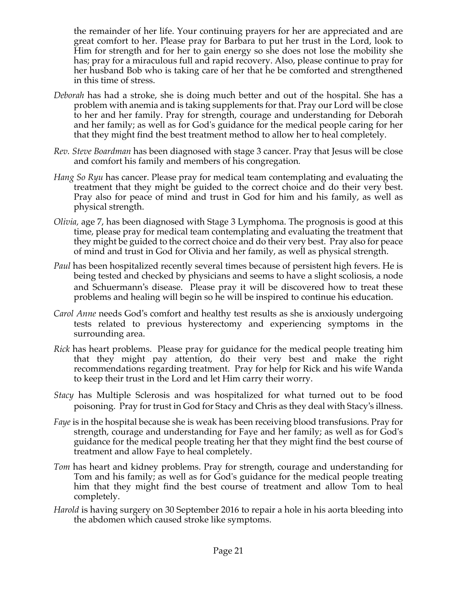the remainder of her life. Your continuing prayers for her are appreciated and are great comfort to her. Please pray for Barbara to put her trust in the Lord, look to Him for strength and for her to gain energy so she does not lose the mobility she has; pray for a miraculous full and rapid recovery. Also, please continue to pray for her husband Bob who is taking care of her that he be comforted and strengthened in this time of stress.

- *Deborah* has had a stroke, she is doing much better and out of the hospital. She has a problem with anemia and is taking supplements for that. Pray our Lord will be close to her and her family. Pray for strength, courage and understanding for Deborah and her family; as well as for God's guidance for the medical people caring for her that they might find the best treatment method to allow her to heal completely.
- *Rev. Steve Boardman* has been diagnosed with stage 3 cancer. Pray that Jesus will be close and comfort his family and members of his congregation*.*
- *Hang So Ryu* has cancer. Please pray for medical team contemplating and evaluating the treatment that they might be guided to the correct choice and do their very best. Pray also for peace of mind and trust in God for him and his family, as well as physical strength.
- *Olivia,* age 7, has been diagnosed with Stage 3 Lymphoma. The prognosis is good at this time, please pray for medical team contemplating and evaluating the treatment that they might be guided to the correct choice and do their very best. Pray also for peace of mind and trust in God for Olivia and her family, as well as physical strength.
- *Paul* has been hospitalized recently several times because of persistent high fevers. He is being tested and checked by physicians and seems to have a slight scoliosis, a node and Schuermann's disease. Please pray it will be discovered how to treat these problems and healing will begin so he will be inspired to continue his education.
- *Carol Anne* needs God's comfort and healthy test results as she is anxiously undergoing tests related to previous hysterectomy and experiencing symptoms in the surrounding area.
- *Rick* has heart problems. Please pray for guidance for the medical people treating him that they might pay attention, do their very best and make the right recommendations regarding treatment. Pray for help for Rick and his wife Wanda to keep their trust in the Lord and let Him carry their worry.
- *Stacy* has Multiple Sclerosis and was hospitalized for what turned out to be food poisoning. Pray for trust in God for Stacy and Chris as they deal with Stacy's illness.
- *Faye* is in the hospital because she is weak has been receiving blood transfusions. Pray for strength, courage and understanding for Faye and her family; as well as for God's guidance for the medical people treating her that they might find the best course of treatment and allow Faye to heal completely.
- *Tom* has heart and kidney problems. Pray for strength, courage and understanding for Tom and his family; as well as for God's guidance for the medical people treating him that they might find the best course of treatment and allow Tom to heal completely.
- *Harold* is having surgery on 30 September 2016 to repair a hole in his aorta bleeding into the abdomen which caused stroke like symptoms.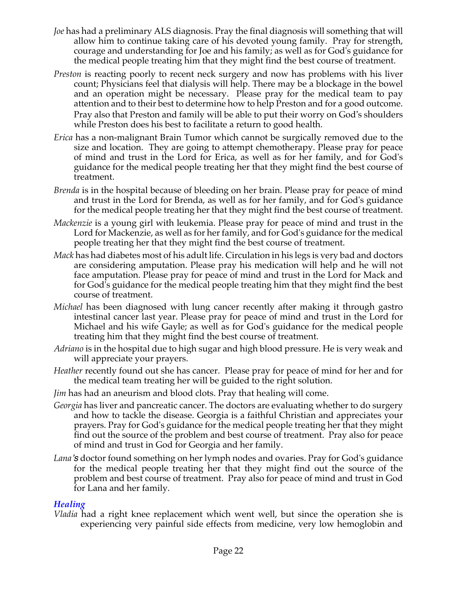- *Joe* has had a preliminary ALS diagnosis. Pray the final diagnosis will something that will allow him to continue taking care of his devoted young family. Pray for strength, courage and understanding for Joe and his family; as well as for God's guidance for the medical people treating him that they might find the best course of treatment.
- *Preston* is reacting poorly to recent neck surgery and now has problems with his liver count; Physicians feel that dialysis will help. There may be a blockage in the bowel and an operation might be necessary. Please pray for the medical team to pay attention and to their best to determine how to help Preston and for a good outcome. Pray also that Preston and family will be able to put their worry on God's shoulders while Preston does his best to facilitate a return to good health.
- *Erica* has a non-malignant Brain Tumor which cannot be surgically removed due to the size and location. They are going to attempt chemotherapy. Please pray for peace of mind and trust in the Lord for Erica, as well as for her family, and for God's guidance for the medical people treating her that they might find the best course of treatment.
- *Brenda* is in the hospital because of bleeding on her brain. Please pray for peace of mind and trust in the Lord for Brenda, as well as for her family, and for God's guidance for the medical people treating her that they might find the best course of treatment.
- *Mackenzie* is a young girl with leukemia. Please pray for peace of mind and trust in the Lord for Mackenzie, as well as for her family, and for God's guidance for the medical people treating her that they might find the best course of treatment.
- *Mack* has had diabetes most of his adult life. Circulation in his legs is very bad and doctors are considering amputation. Please pray his medication will help and he will not face amputation. Please pray for peace of mind and trust in the Lord for Mack and for God's guidance for the medical people treating him that they might find the best course of treatment.
- *Michael* has been diagnosed with lung cancer recently after making it through gastro intestinal cancer last year. Please pray for peace of mind and trust in the Lord for Michael and his wife Gayle; as well as for God's guidance for the medical people treating him that they might find the best course of treatment.
- *Adriano* is in the hospital due to high sugar and high blood pressure. He is very weak and will appreciate your prayers.
- *Heather* recently found out she has cancer. Please pray for peace of mind for her and for the medical team treating her will be guided to the right solution.
- *Jim* has had an aneurism and blood clots. Pray that healing will come.
- *Georgia* has liver and pancreatic cancer. The doctors are evaluating whether to do surgery and how to tackle the disease. Georgia is a faithful Christian and appreciates your prayers. Pray for God's guidance for the medical people treating her that they might find out the source of the problem and best course of treatment. Pray also for peace of mind and trust in God for Georgia and her family.
- *Lana's* doctor found something on her lymph nodes and ovaries. Pray for God's guidance for the medical people treating her that they might find out the source of the problem and best course of treatment. Pray also for peace of mind and trust in God for Lana and her family.

# *Healing*

*Vladia* had a right knee replacement which went well, but since the operation she is experiencing very painful side effects from medicine, very low hemoglobin and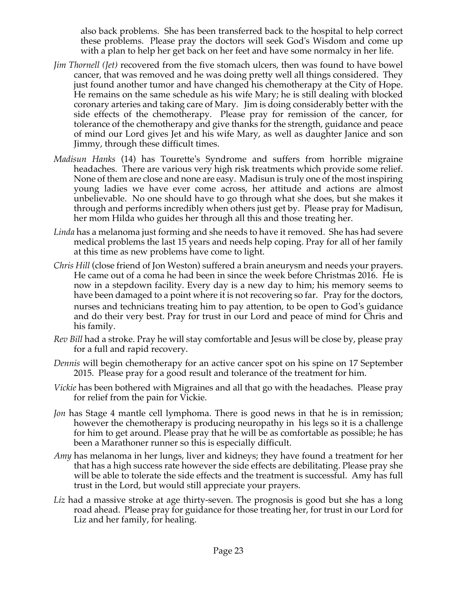also back problems. She has been transferred back to the hospital to help correct these problems. Please pray the doctors will seek God's Wisdom and come up with a plan to help her get back on her feet and have some normalcy in her life.

- *Jim Thornell (Jet)* recovered from the five stomach ulcers, then was found to have bowel cancer, that was removed and he was doing pretty well all things considered. They just found another tumor and have changed his chemotherapy at the City of Hope. He remains on the same schedule as his wife Mary; he is still dealing with blocked coronary arteries and taking care of Mary. Jim is doing considerably better with the side effects of the chemotherapy. Please pray for remission of the cancer, for tolerance of the chemotherapy and give thanks for the strength, guidance and peace of mind our Lord gives Jet and his wife Mary, as well as daughter Janice and son Jimmy, through these difficult times.
- *Madisun Hanks* (14) has Tourette's Syndrome and suffers from horrible migraine headaches. There are various very high risk treatments which provide some relief. None of them are close and none are easy. Madisun is truly one of the most inspiring young ladies we have ever come across, her attitude and actions are almost unbelievable. No one should have to go through what she does, but she makes it through and performs incredibly when others just get by. Please pray for Madisun, her mom Hilda who guides her through all this and those treating her.
- *Linda* has a melanoma just forming and she needs to have it removed. She has had severe medical problems the last 15 years and needs help coping. Pray for all of her family at this time as new problems have come to light.
- *Chris Hill* (close friend of Jon Weston) suffered a brain aneurysm and needs your prayers. He came out of a coma he had been in since the week before Christmas 2016. He is now in a stepdown facility. Every day is a new day to him; his memory seems to have been damaged to a point where it is not recovering so far. Pray for the doctors, nurses and technicians treating him to pay attention, to be open to God's guidance and do their very best. Pray for trust in our Lord and peace of mind for Chris and his family.
- *Rev Bill* had a stroke. Pray he will stay comfortable and Jesus will be close by, please pray for a full and rapid recovery.
- *Dennis* will begin chemotherapy for an active cancer spot on his spine on 17 September 2015. Please pray for a good result and tolerance of the treatment for him.
- *Vickie* has been bothered with Migraines and all that go with the headaches. Please pray for relief from the pain for Vickie.
- *Jon* has Stage 4 mantle cell lymphoma. There is good news in that he is in remission; however the chemotherapy is producing neuropathy in his legs so it is a challenge for him to get around. Please pray that he will be as comfortable as possible; he has been a Marathoner runner so this is especially difficult.
- *Amy* has melanoma in her lungs, liver and kidneys; they have found a treatment for her that has a high success rate however the side effects are debilitating. Please pray she will be able to tolerate the side effects and the treatment is successful. Amy has full trust in the Lord, but would still appreciate your prayers.
- *Liz* had a massive stroke at age thirty-seven. The prognosis is good but she has a long road ahead. Please pray for guidance for those treating her, for trust in our Lord for Liz and her family, for healing.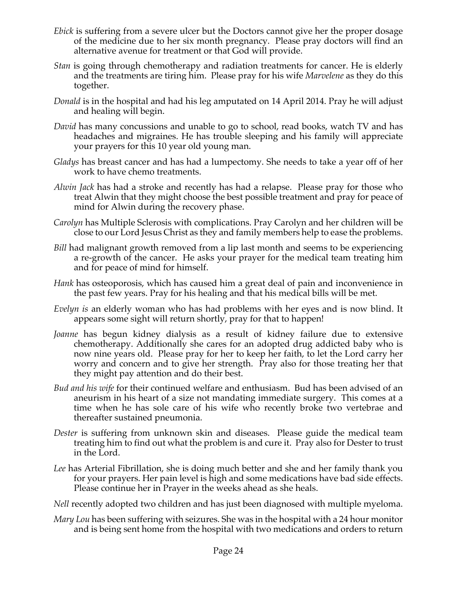- *Ebick* is suffering from a severe ulcer but the Doctors cannot give her the proper dosage of the medicine due to her six month pregnancy. Please pray doctors will find an alternative avenue for treatment or that God will provide.
- *Stan* is going through chemotherapy and radiation treatments for cancer. He is elderly and the treatments are tiring him. Please pray for his wife *Marvelene* as they do this together.
- *Donald* is in the hospital and had his leg amputated on 14 April 2014. Pray he will adjust and healing will begin.
- *David* has many concussions and unable to go to school, read books, watch TV and has headaches and migraines. He has trouble sleeping and his family will appreciate your prayers for this 10 year old young man.
- *Gladys* has breast cancer and has had a lumpectomy. She needs to take a year off of her work to have chemo treatments.
- *Alwin Jack* has had a stroke and recently has had a relapse. Please pray for those who treat Alwin that they might choose the best possible treatment and pray for peace of mind for Alwin during the recovery phase.
- *Carolyn* has Multiple Sclerosis with complications. Pray Carolyn and her children will be close to our Lord Jesus Christ as they and family members help to ease the problems.
- *Bill* had malignant growth removed from a lip last month and seems to be experiencing a re-growth of the cancer. He asks your prayer for the medical team treating him and for peace of mind for himself.
- *Hank* has osteoporosis, which has caused him a great deal of pain and inconvenience in the past few years. Pray for his healing and that his medical bills will be met.
- *Evelyn is* an elderly woman who has had problems with her eyes and is now blind. It appears some sight will return shortly, pray for that to happen!
- *Joanne* has begun kidney dialysis as a result of kidney failure due to extensive chemotherapy. Additionally she cares for an adopted drug addicted baby who is now nine years old. Please pray for her to keep her faith, to let the Lord carry her worry and concern and to give her strength. Pray also for those treating her that they might pay attention and do their best.
- *Bud and his wife* for their continued welfare and enthusiasm. Bud has been advised of an aneurism in his heart of a size not mandating immediate surgery. This comes at a time when he has sole care of his wife who recently broke two vertebrae and thereafter sustained pneumonia.
- *Dester* is suffering from unknown skin and diseases. Please guide the medical team treating him to find out what the problem is and cure it. Pray also for Dester to trust in the Lord.
- *Lee* has Arterial Fibrillation, she is doing much better and she and her family thank you for your prayers. Her pain level is high and some medications have bad side effects. Please continue her in Prayer in the weeks ahead as she heals.
- *Nell* recently adopted two children and has just been diagnosed with multiple myeloma.
- *Mary Lou* has been suffering with seizures. She was in the hospital with a 24 hour monitor and is being sent home from the hospital with two medications and orders to return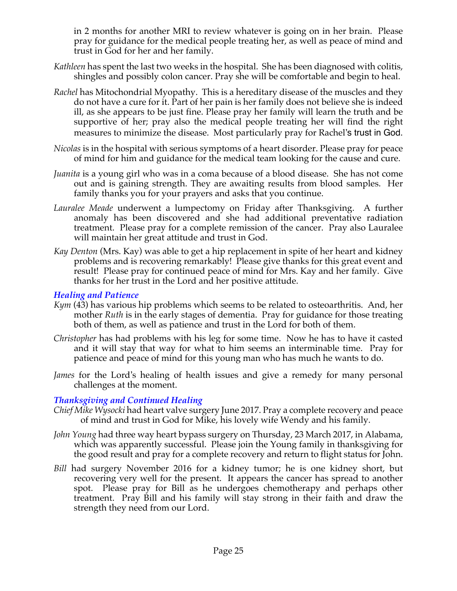in 2 months for another MRI to review whatever is going on in her brain. Please pray for guidance for the medical people treating her, as well as peace of mind and trust in God for her and her family.

- *Kathleen* has spent the last two weeks in the hospital. She has been diagnosed with colitis, shingles and possibly colon cancer. Pray she will be comfortable and begin to heal.
- *Rachel* has Mitochondrial Myopathy. This is a hereditary disease of the muscles and they do not have a cure for it. Part of her pain is her family does not believe she is indeed ill, as she appears to be just fine. Please pray her family will learn the truth and be supportive of her; pray also the medical people treating her will find the right measures to minimize the disease. Most particularly pray for Rachel's trust in God.
- *Nicolas* is in the hospital with serious symptoms of a heart disorder. Please pray for peace of mind for him and guidance for the medical team looking for the cause and cure.
- *Juanita* is a young girl who was in a coma because of a blood disease. She has not come out and is gaining strength. They are awaiting results from blood samples. Her family thanks you for your prayers and asks that you continue.
- *Lauralee Meade* underwent a lumpectomy on Friday after Thanksgiving. A further anomaly has been discovered and she had additional preventative radiation treatment. Please pray for a complete remission of the cancer. Pray also Lauralee will maintain her great attitude and trust in God.
- *Kay Denton* (Mrs. Kay) was able to get a hip replacement in spite of her heart and kidney problems and is recovering remarkably! Please give thanks for this great event and result! Please pray for continued peace of mind for Mrs. Kay and her family. Give thanks for her trust in the Lord and her positive attitude.

#### *Healing and Patience*

- *Kym* (43) has various hip problems which seems to be related to osteoarthritis. And, her mother *Ruth* is in the early stages of dementia. Pray for guidance for those treating both of them, as well as patience and trust in the Lord for both of them.
- *Christopher* has had problems with his leg for some time. Now he has to have it casted and it will stay that way for what to him seems an interminable time. Pray for patience and peace of mind for this young man who has much he wants to do.
- *James* for the Lord's healing of health issues and give a remedy for many personal challenges at the moment.

# *Thanksgiving and Continued Healing*

- *Chief Mike Wysocki* had heart valve surgery June 2017. Pray a complete recovery and peace of mind and trust in God for Mike, his lovely wife Wendy and his family.
- *John Young* had three way heart bypass surgery on Thursday, 23 March 2017, in Alabama, which was apparently successful. Please join the Young family in thanksgiving for the good result and pray for a complete recovery and return to flight status for John.
- *Bill* had surgery November 2016 for a kidney tumor; he is one kidney short, but recovering very well for the present. It appears the cancer has spread to another spot. Please pray for Bill as he undergoes chemotherapy and perhaps other treatment. Pray Bill and his family will stay strong in their faith and draw the strength they need from our Lord.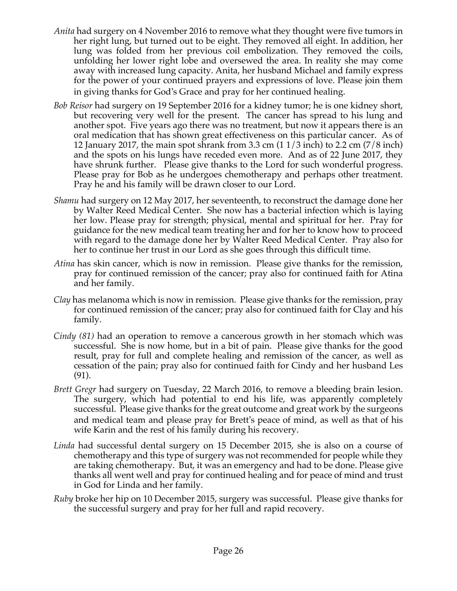- *Anita* had surgery on 4 November 2016 to remove what they thought were five tumors in her right lung, but turned out to be eight. They removed all eight. In addition, her lung was folded from her previous coil embolization. They removed the coils, unfolding her lower right lobe and oversewed the area. In reality she may come away with increased lung capacity. Anita, her husband Michael and family express for the power of your continued prayers and expressions of love. Please join them in giving thanks for God's Grace and pray for her continued healing.
- *Bob Reisor* had surgery on 19 September 2016 for a kidney tumor; he is one kidney short, but recovering very well for the present. The cancer has spread to his lung and another spot. Five years ago there was no treatment, but now it appears there is an oral medication that has shown great effectiveness on this particular cancer. As of 12 January 2017, the main spot shrank from 3.3 cm (1 1/3 inch) to 2.2 cm (7/8 inch) and the spots on his lungs have receded even more. And as of 22 June 2017, they have shrunk further. Please give thanks to the Lord for such wonderful progress. Please pray for Bob as he undergoes chemotherapy and perhaps other treatment. Pray he and his family will be drawn closer to our Lord.
- *Shamu* had surgery on 12 May 2017, her seventeenth, to reconstruct the damage done her by Walter Reed Medical Center. She now has a bacterial infection which is laying her low. Please pray for strength; physical, mental and spiritual for her. Pray for guidance for the new medical team treating her and for her to know how to proceed with regard to the damage done her by Walter Reed Medical Center. Pray also for her to continue her trust in our Lord as she goes through this difficult time.
- *Atina* has skin cancer, which is now in remission. Please give thanks for the remission, pray for continued remission of the cancer; pray also for continued faith for Atina and her family.
- *Clay* has melanoma which is now in remission. Please give thanks for the remission, pray for continued remission of the cancer; pray also for continued faith for Clay and his family.
- *Cindy (81)* had an operation to remove a cancerous growth in her stomach which was successful. She is now home, but in a bit of pain. Please give thanks for the good result, pray for full and complete healing and remission of the cancer, as well as cessation of the pain; pray also for continued faith for Cindy and her husband Les (91).
- *Brett Gregr* had surgery on Tuesday, 22 March 2016, to remove a bleeding brain lesion. The surgery, which had potential to end his life, was apparently completely successful. Please give thanks for the great outcome and great work by the surgeons and medical team and please pray for Brett's peace of mind, as well as that of his wife Karin and the rest of his family during his recovery.
- *Linda* had successful dental surgery on 15 December 2015, she is also on a course of chemotherapy and this type of surgery was not recommended for people while they are taking chemotherapy. But, it was an emergency and had to be done. Please give thanks all went well and pray for continued healing and for peace of mind and trust in God for Linda and her family.
- *Ruby* broke her hip on 10 December 2015, surgery was successful. Please give thanks for the successful surgery and pray for her full and rapid recovery.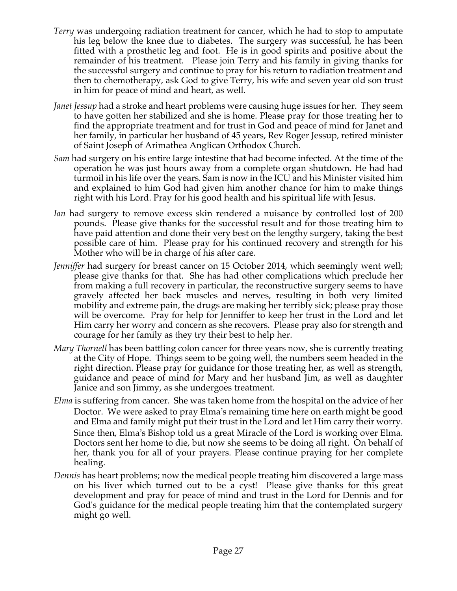- *Terry* was undergoing radiation treatment for cancer, which he had to stop to amputate his leg below the knee due to diabetes. The surgery was successful, he has been fitted with a prosthetic leg and foot. He is in good spirits and positive about the remainder of his treatment. Please join Terry and his family in giving thanks for the successful surgery and continue to pray for his return to radiation treatment and then to chemotherapy, ask God to give Terry, his wife and seven year old son trust in him for peace of mind and heart, as well.
- *Janet Jessup* had a stroke and heart problems were causing huge issues for her. They seem to have gotten her stabilized and she is home. Please pray for those treating her to find the appropriate treatment and for trust in God and peace of mind for Janet and her family, in particular her husband of 45 years, Rev Roger Jessup, retired minister of Saint Joseph of Arimathea Anglican Orthodox Church.
- *Sam* had surgery on his entire large intestine that had become infected. At the time of the operation he was just hours away from a complete organ shutdown. He had had turmoil in his life over the years. Sam is now in the ICU and his Minister visited him and explained to him God had given him another chance for him to make things right with his Lord. Pray for his good health and his spiritual life with Jesus.
- *Ian* had surgery to remove excess skin rendered a nuisance by controlled lost of 200 pounds. Please give thanks for the successful result and for those treating him to have paid attention and done their very best on the lengthy surgery, taking the best possible care of him. Please pray for his continued recovery and strength for his Mother who will be in charge of his after care.
- *Jenniffer* had surgery for breast cancer on 15 October 2014, which seemingly went well; please give thanks for that. She has had other complications which preclude her from making a full recovery in particular, the reconstructive surgery seems to have gravely affected her back muscles and nerves, resulting in both very limited mobility and extreme pain, the drugs are making her terribly sick; please pray those will be overcome. Pray for help for Jenniffer to keep her trust in the Lord and let Him carry her worry and concern as she recovers. Please pray also for strength and courage for her family as they try their best to help her.
- *Mary Thornell* has been battling colon cancer for three years now, she is currently treating at the City of Hope. Things seem to be going well, the numbers seem headed in the right direction. Please pray for guidance for those treating her, as well as strength, guidance and peace of mind for Mary and her husband Jim, as well as daughter Janice and son Jimmy, as she undergoes treatment.
- *Elma* is suffering from cancer. She was taken home from the hospital on the advice of her Doctor. We were asked to pray Elma's remaining time here on earth might be good and Elma and family might put their trust in the Lord and let Him carry their worry. Since then, Elma's Bishop told us a great Miracle of the Lord is working over Elma. Doctors sent her home to die, but now she seems to be doing all right. On behalf of her, thank you for all of your prayers. Please continue praying for her complete healing.
- *Dennis* has heart problems; now the medical people treating him discovered a large mass on his liver which turned out to be a cyst! Please give thanks for this great development and pray for peace of mind and trust in the Lord for Dennis and for God's guidance for the medical people treating him that the contemplated surgery might go well.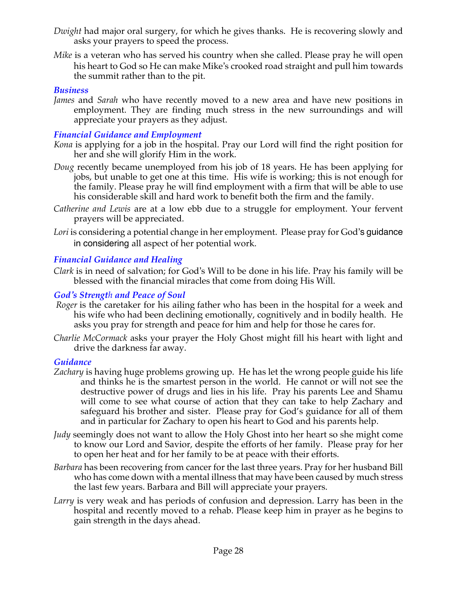- *Dwight* had major oral surgery, for which he gives thanks. He is recovering slowly and asks your prayers to speed the process.
- *Mike* is a veteran who has served his country when she called. Please pray he will open his heart to God so He can make Mike's crooked road straight and pull him towards the summit rather than to the pit.

# *Business*

*James* and *Sarah* who have recently moved to a new area and have new positions in employment. They are finding much stress in the new surroundings and will appreciate your prayers as they adjust.

#### *Financial Guidance and Employment*

- *Kona* is applying for a job in the hospital. Pray our Lord will find the right position for her and she will glorify Him in the work.
- *Doug* recently became unemployed from his job of 18 years. He has been applying for jobs, but unable to get one at this time. His wife is working; this is not enough for the family. Please pray he will find employment with a firm that will be able to use his considerable skill and hard work to benefit both the firm and the family.
- *Catherine and Lewis* are at a low ebb due to a struggle for employment. Your fervent prayers will be appreciated.
- *Lori* is considering a potential change in her employment. Please pray for God's guidance in considering all aspect of her potential work.

# *Financial Guidance and Healing*

*Clark* is in need of salvation; for God's Will to be done in his life. Pray his family will be blessed with the financial miracles that come from doing His Will.

#### *God's Strength and Peace of Soul*

- *Roger* is the caretaker for his ailing father who has been in the hospital for a week and his wife who had been declining emotionally, cognitively and in bodily health. He asks you pray for strength and peace for him and help for those he cares for.
- *Charlie McCormack* asks your prayer the Holy Ghost might fill his heart with light and drive the darkness far away.

#### *Guidance*

- *Zachary* is having huge problems growing up. He has let the wrong people guide his life and thinks he is the smartest person in the world. He cannot or will not see the destructive power of drugs and lies in his life. Pray his parents Lee and Shamu will come to see what course of action that they can take to help Zachary and safeguard his brother and sister. Please pray for God's guidance for all of them and in particular for Zachary to open his heart to God and his parents help.
- *Judy* seemingly does not want to allow the Holy Ghost into her heart so she might come to know our Lord and Savior, despite the efforts of her family. Please pray for her to open her heat and for her family to be at peace with their efforts.
- *Barbara* has been recovering from cancer for the last three years. Pray for her husband Bill who has come down with a mental illness that may have been caused by much stress the last few years. Barbara and Bill will appreciate your prayers.
- *Larry* is very weak and has periods of confusion and depression. Larry has been in the hospital and recently moved to a rehab. Please keep him in prayer as he begins to gain strength in the days ahead.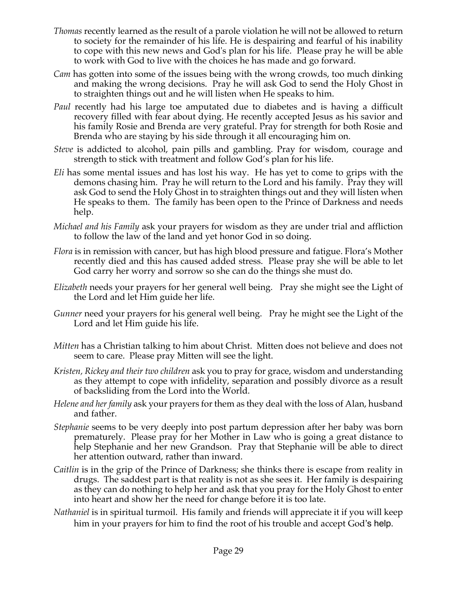- *Thomas* recently learned as the result of a parole violation he will not be allowed to return to society for the remainder of his life. He is despairing and fearful of his inability to cope with this new news and God's plan for his life. Please pray he will be able to work with God to live with the choices he has made and go forward.
- *Cam* has gotten into some of the issues being with the wrong crowds, too much dinking and making the wrong decisions. Pray he will ask God to send the Holy Ghost in to straighten things out and he will listen when He speaks to him.
- *Paul* recently had his large toe amputated due to diabetes and is having a difficult recovery filled with fear about dying. He recently accepted Jesus as his savior and his family Rosie and Brenda are very grateful. Pray for strength for both Rosie and Brenda who are staying by his side through it all encouraging him on.
- *Steve* is addicted to alcohol, pain pills and gambling. Pray for wisdom, courage and strength to stick with treatment and follow God's plan for his life.
- *Eli* has some mental issues and has lost his way. He has yet to come to grips with the demons chasing him. Pray he will return to the Lord and his family. Pray they will ask God to send the Holy Ghost in to straighten things out and they will listen when He speaks to them. The family has been open to the Prince of Darkness and needs help.
- *Michael and his Family* ask your prayers for wisdom as they are under trial and affliction to follow the law of the land and yet honor God in so doing.
- *Flora* is in remission with cancer, but has high blood pressure and fatigue. Flora's Mother recently died and this has caused added stress. Please pray she will be able to let God carry her worry and sorrow so she can do the things she must do.
- *Elizabeth* needs your prayers for her general well being. Pray she might see the Light of the Lord and let Him guide her life.
- *Gunner* need your prayers for his general well being. Pray he might see the Light of the Lord and let Him guide his life.
- *Mitten* has a Christian talking to him about Christ. Mitten does not believe and does not seem to care. Please pray Mitten will see the light.
- *Kristen, Rickey and their two children* ask you to pray for grace, wisdom and understanding as they attempt to cope with infidelity, separation and possibly divorce as a result of backsliding from the Lord into the World.
- *Helene and her family* ask your prayers for them as they deal with the loss of Alan, husband and father.
- *Stephanie* seems to be very deeply into post partum depression after her baby was born prematurely. Please pray for her Mother in Law who is going a great distance to help Stephanie and her new Grandson. Pray that Stephanie will be able to direct her attention outward, rather than inward.
- *Caitlin* is in the grip of the Prince of Darkness; she thinks there is escape from reality in drugs. The saddest part is that reality is not as she sees it. Her family is despairing as they can do nothing to help her and ask that you pray for the Holy Ghost to enter into heart and show her the need for change before it is too late.
- *Nathaniel* is in spiritual turmoil. His family and friends will appreciate it if you will keep him in your prayers for him to find the root of his trouble and accept God's help.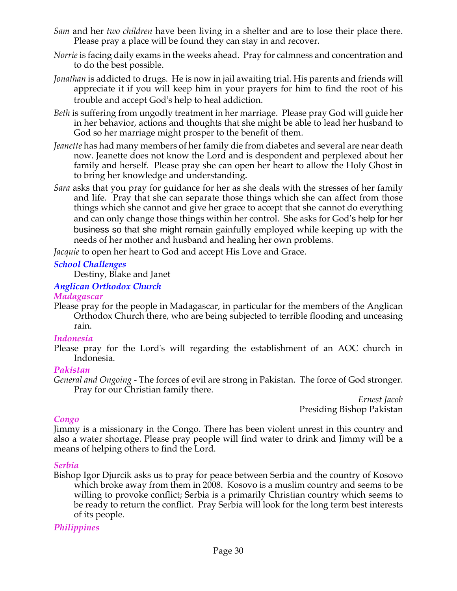- *Sam* and her *two children* have been living in a shelter and are to lose their place there. Please pray a place will be found they can stay in and recover.
- *Norrie* is facing daily exams in the weeks ahead. Pray for calmness and concentration and to do the best possible.
- *Jonathan* is addicted to drugs. He is now in jail awaiting trial. His parents and friends will appreciate it if you will keep him in your prayers for him to find the root of his trouble and accept God's help to heal addiction.
- *Beth* is suffering from ungodly treatment in her marriage. Please pray God will guide her in her behavior, actions and thoughts that she might be able to lead her husband to God so her marriage might prosper to the benefit of them.
- *Jeanette* has had many members of her family die from diabetes and several are near death now. Jeanette does not know the Lord and is despondent and perplexed about her family and herself. Please pray she can open her heart to allow the Holy Ghost in to bring her knowledge and understanding.
- *Sara* asks that you pray for guidance for her as she deals with the stresses of her family and life. Pray that she can separate those things which she can affect from those things which she cannot and give her grace to accept that she cannot do everything and can only change those things within her control. She asks for God's help for her business so that she might remain gainfully employed while keeping up with the needs of her mother and husband and healing her own problems.

*Jacquie* to open her heart to God and accept His Love and Grace.

# *School Challenges*

Destiny, Blake and Janet

# *Anglican Orthodox Church*

#### *Madagascar*

Please pray for the people in Madagascar, in particular for the members of the Anglican Orthodox Church there, who are being subjected to terrible flooding and unceasing rain.

#### *Indonesia*

Please pray for the Lord's will regarding the establishment of an AOC church in Indonesia.

# *Pakistan*

*General and Ongoing -* The forces of evil are strong in Pakistan. The force of God stronger. Pray for our Christian family there.

*Ernest Jacob* Presiding Bishop Pakistan

# *Congo*

Jimmy is a missionary in the Congo. There has been violent unrest in this country and also a water shortage. Please pray people will find water to drink and Jimmy will be a means of helping others to find the Lord.

# *Serbia*

Bishop Igor Djurcik asks us to pray for peace between Serbia and the country of Kosovo which broke away from them in 2008. Kosovo is a muslim country and seems to be willing to provoke conflict; Serbia is a primarily Christian country which seems to be ready to return the conflict. Pray Serbia will look for the long term best interests of its people.

# *Philippines*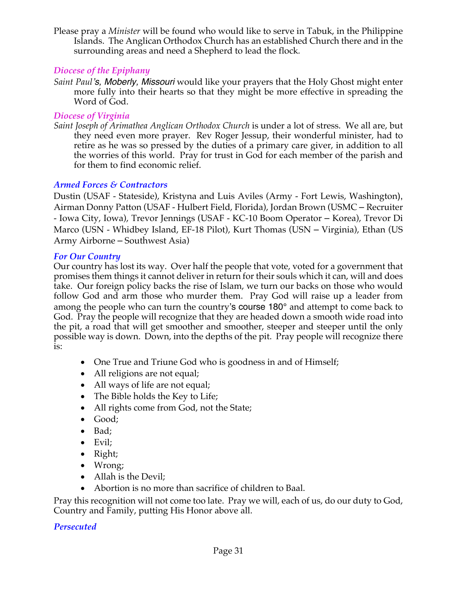Please pray a *Minister* will be found who would like to serve in Tabuk, in the Philippine Islands. The Anglican Orthodox Church has an established Church there and in the surrounding areas and need a Shepherd to lead the flock*.*

# *Diocese of the Epiphany*

*Saint Paul's, Moberly, Missouri* would like your prayers that the Holy Ghost might enter more fully into their hearts so that they might be more effective in spreading the Word of God.

# *Diocese of Virginia*

*Saint Joseph of Arimathea Anglican Orthodox Church* is under a lot of stress. We all are, but they need even more prayer. Rev Roger Jessup, their wonderful minister, had to retire as he was so pressed by the duties of a primary care giver, in addition to all the worries of this world. Pray for trust in God for each member of the parish and for them to find economic relief.

# *Armed Forces & Contractors*

Dustin (USAF - Stateside), Kristyna and Luis Aviles (Army - Fort Lewis, Washington), Airman Donny Patton (USAF - Hulbert Field, Florida), Jordan Brown (USMC – Recruiter - Iowa City, Iowa), Trevor Jennings (USAF - KC-10 Boom Operator – Korea), Trevor Di Marco (USN - Whidbey Island, EF-18 Pilot), Kurt Thomas (USN – Virginia), Ethan (US Army Airborne – Southwest Asia)

#### *For Our Country*

Our country has lost its way. Over half the people that vote, voted for a government that promises them things it cannot deliver in return for their souls which it can, will and does take. Our foreign policy backs the rise of Islam, we turn our backs on those who would follow God and arm those who murder them. Pray God will raise up a leader from among the people who can turn the country's course 180° and attempt to come back to God. Pray the people will recognize that they are headed down a smooth wide road into the pit, a road that will get smoother and smoother, steeper and steeper until the only possible way is down. Down, into the depths of the pit. Pray people will recognize there is:

- One True and Triune God who is goodness in and of Himself;
- All religions are not equal;
- All ways of life are not equal;
- The Bible holds the Key to Life;
- All rights come from God, not the State;
- Good;
- Bad;
- Evil;
- Right;
- Wrong;
- Allah is the Devil;
- Abortion is no more than sacrifice of children to Baal.

Pray this recognition will not come too late. Pray we will, each of us, do our duty to God, Country and Family, putting His Honor above all.

#### *Persecuted*